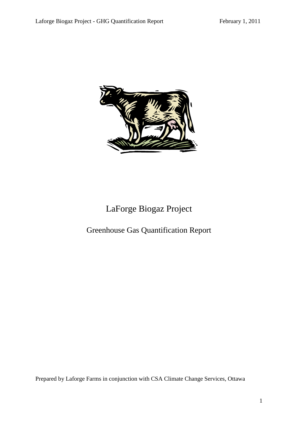

# LaForge Biogaz Project

# Greenhouse Gas Quantification Report

Prepared by Laforge Farms in conjunction with CSA Climate Change Services, Ottawa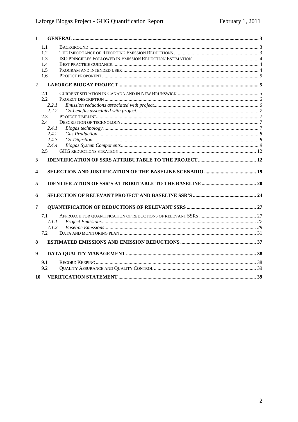| $\mathbf{1}$     |                |  |
|------------------|----------------|--|
|                  | 1.1            |  |
|                  | 1.2            |  |
|                  | 1.3            |  |
|                  | 1.4            |  |
|                  | 1.5            |  |
|                  | 1.6            |  |
| $\overline{2}$   |                |  |
|                  | 2.1            |  |
|                  | 2.2            |  |
|                  | 2.2.1          |  |
|                  | 2.2.2          |  |
|                  | 2.3            |  |
|                  | 2.4            |  |
|                  | 2.4.1<br>2.4.2 |  |
|                  | 2.4.3          |  |
|                  | 2.4.4          |  |
|                  | 2.5            |  |
|                  |                |  |
| 3                |                |  |
| 4                |                |  |
| 5                |                |  |
| 6                |                |  |
| 7                |                |  |
|                  | 7.1            |  |
|                  | 7.1.1          |  |
|                  | 7.1.2          |  |
|                  | 7.2            |  |
| 8                |                |  |
| $\boldsymbol{9}$ |                |  |
|                  |                |  |
|                  | 9.1<br>9.2     |  |
|                  |                |  |
| 10               |                |  |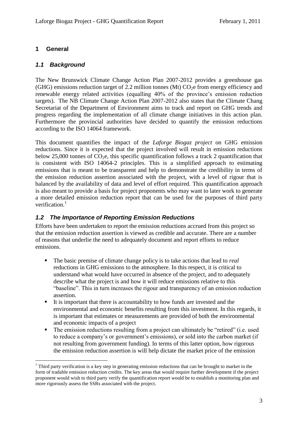#### <span id="page-2-0"></span>**1 General**

1

#### <span id="page-2-1"></span>*1.1 Background*

The New Brunswick Climate Change Action Plan 2007-2012 provides a greenhouse gas (GHG) emissions reduction target of 2.2 million tonnes (Mt)  $CO<sub>2</sub>e$  from energy efficiency and renewable energy related activities (equalling 40% of the province's emission reduction targets). The NB Climate Change Action Plan 2007-2012 also states that the Climate Chang Secretariat of the Department of Environment aims to track and report on GHG trends and progress regarding the implementation of all climate change initiatives in this action plan. Furthermore the provincial authorities have decided to quantify the emission reductions according to the ISO 14064 framework.

This document quantifies the impact of the *Laforge Biogaz project* on GHG emission reductions. Since it is expected that the project involved will result in emission reductions below 25,000 tonnes of  $CO<sub>2</sub>e$ , this specific quantification follows a track 2 quantification that is consistent with ISO 14064-2 principles. This is a simplified approach to estimating emissions that is meant to be transparent and help to demonstrate the credibility in terms of the emission reduction assertion associated with the project, with a level of rigour that is balanced by the availability of data and level of effort required. This quantification approach is also meant to provide a basis for project proponents who may want to later work to generate a more detailed emission reduction report that can be used for the purposes of third party verification. $<sup>1</sup>$ </sup>

#### <span id="page-2-2"></span>*1.2 The Importance of Reporting Emission Reductions*

Efforts have been undertaken to report the emission reductions accrued from this project so that the emission reduction assertion is viewed as credible and accurate. There are a number of reasons that underlie the need to adequately document and report efforts to reduce emissions.

- The basic premise of climate change policy is to take actions that lead to *real* reductions in GHG emissions to the atmosphere. In this respect, it is critical to understand what would have occurred in absence of the project, and to adequately describe what the project is and how it will reduce emissions relative to this ―baseline‖. This in turn increases the rigour and transparency of an emission reduction assertion.
- $\blacksquare$  It is important that there is accountability to how funds are invested and the environmental and economic benefits resulting from this investment. In this regards, it is important that estimates or measurements are provided of both the environmental and economic impacts of a project
- The emission reductions resulting from a project can ultimately be "retired" (i.e. used to reduce a company's or government's emissions), or sold into the carbon market (if not resulting from government funding). In terms of this latter option, how rigorous the emission reduction assertion is will help dictate the market price of the emission

 $1$  Third party verification is a key step in generating emission reductions that can be brought to market in the form of tradable emission reduction credits. The key areas that would require further development if the project proponent would wish to third party verify the quantification report would be to establish a monitoring plan and more rigorously assess the SSRs associated with the project.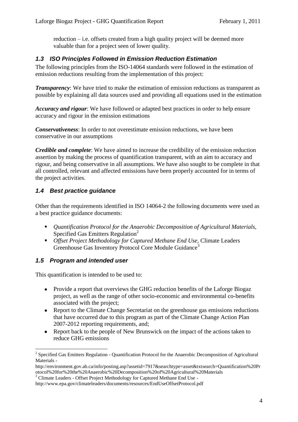reduction – i.e. offsets created from a high quality project will be deemed more valuable than for a project seen of lower quality.

## <span id="page-3-0"></span>*1.3 ISO Principles Followed in Emission Reduction Estimation*

The following principles from the ISO-14064 standards were followed in the estimation of emission reductions resulting from the implementation of this project:

*Transparency*: We have tried to make the estimation of emission reductions as transparent as possible by explaining all data sources used and providing all equations used in the estimation

*Accuracy and rigour*: We have followed or adapted best practices in order to help ensure accuracy and rigour in the emission estimations

*Conservativeness*: In order to not overestimate emission reductions, we have been conservative in our assumptions

*Credible and complete*: We have aimed to increase the credibility of the emission reduction assertion by making the process of quantification transparent, with an aim to accuracy and rigour, and being conservative in all assumptions. We have also sought to be complete in that all controlled, relevant and affected emissions have been properly accounted for in terms of the project activities.

## <span id="page-3-1"></span>*1.4 Best practice guidance*

Other than the requirements identified in ISO 14064-2 the following documents were used as a best practice guidance documents:

- *Quantification Protocol for the Anaerobic Decomposition of Agricultural Materials,*  Specified Gas Emitters Regulation<sup>2</sup>
- *Offset Project Methodology for Captured Methane End Use,* Climate Leaders Greenhouse Gas Inventory Protocol Core Module Guidance<sup>3</sup>

### <span id="page-3-2"></span>*1.5 Program and intended user*

<u>.</u>

This quantification is intended to be used to:

- Provide a report that overviews the GHG reduction benefits of the Laforge Biogaz project, as well as the range of other socio-economic and environmental co-benefits associated with the project;
- Report to the Climate Change Secretariat on the greenhouse gas emissions reductions that have occurred due to this program as part of the Climate Change Action Plan 2007-2012 reporting requirements, and;
- Report back to the people of New Brunswick on the impact of the actions taken to reduce GHG emissions

<sup>&</sup>lt;sup>2</sup> Specified Gas Emitters Regulation - Quantification Protocol for the Anaerobic Decomposition of Agricultural Materials -

http://environment.gov.ab.ca/info/posting.asp?assetid=7917&searchtype=asset&txtsearch=Quantification%20Pr otocol%20for%20the%20Anaerobic%20Decomposition%20of%20Agricultural%20Materials

<sup>&</sup>lt;sup>3</sup> Climate Leaders - Offset Project Methodology for Captured Methane End Use -

http://www.epa.gov/climateleaders/documents/resources/EndUseOffsetProtocol.pdf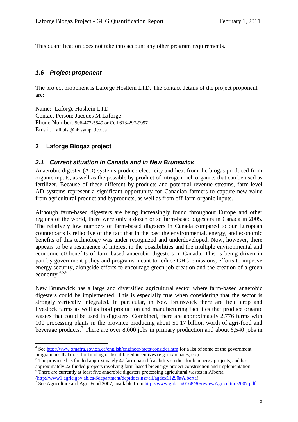This quantification does not take into account any other program requirements.

#### <span id="page-4-0"></span>*1.6 Project proponent*

The project proponent is Laforge Hosltein LTD. The contact details of the project proponent are:

Name: Laforge Hosltein LTD Contact Person: Jacques M Laforge Phone Number: 506-473-5549 or Cell 613-297-9997 Email: Lafholst@nb.sympatico.ca

## <span id="page-4-1"></span>**2 Laforge Biogaz project**

1

#### <span id="page-4-2"></span>*2.1 Current situation in Canada and in New Brunswick*

Anaerobic digester (AD) systems produce electricity and heat from the biogas produced from organic inputs, as well as the possible by-product of nitrogen-rich organics that can be used as fertilizer. Because of these different by-products and potential revenue streams, farm-level AD systems represent a significant opportunity for Canadian farmers to capture new value from agricultural product and byproducts, as well as from off-farm organic inputs.

Although farm-based digesters are being increasingly found throughout Europe and other regions of the world, there were only a dozen or so farm-based digesters in Canada in 2005. The relatively low numbers of farm-based digesters in Canada compared to our European counterparts is reflective of the fact that in the past the environmental, energy, and economic benefits of this technology was under recognized and underdeveloped. Now, however, there appears to be a resurgence of interest in the possibilities and the multiple environmental and economic c0-benefits of farm-based anaerobic digesters in Canada. This is being driven in part by government policy and programs meant to reduce GHG emissions, efforts to improve energy security, alongside efforts to encourage green job creation and the creation of a green economy. 4,5,6

New Brunswick has a large and diversified agricultural sector where farm-based anaerobic digesters could be implemented. This is especially true when considering that the sector is strongly vertically integrated. In particular, in New Brunswick there are field crop and livestock farms as well as food production and manufacturing facilities that produce organic wastes that could be used in digesters. Combined, there are approximately 2,776 farms with 100 processing plants in the province producing about \$1.17 billion worth of agri-food and beverage products.<sup>7</sup> There are over 8,000 jobs in primary production and about 6,540 jobs in

[\(http://www1.agric.gov.ab.ca/\\$department/deptdocs.nsf/all/agdex11290#Alberta\)](http://www1.agric.gov.ab.ca/$department/deptdocs.nsf/all/agdex11290#Alberta)

<sup>&</sup>lt;sup>4</sup> See<http://www.omafra.gov.on.ca/english/engineer/facts/consider.htm> for a list of some of the government programmes that exist for funding or fiscal-based incentives (e.g. tax rebates, etc).

<sup>5</sup> The province has funded approximately 47 farm-based feasibility studies for bioenergy projects, and has approximately 22 funded projects involving farm-based bioenergy project construction and implementation <sup>6</sup> There are currently at least five anaerobic digesters processing agricultural wastes in Alberta

<sup>&</sup>lt;sup>7</sup> See Agriculture and Agri-Food 2007, available from<http://www.gnb.ca/0168/30/reviewAgriculture2007.pdf>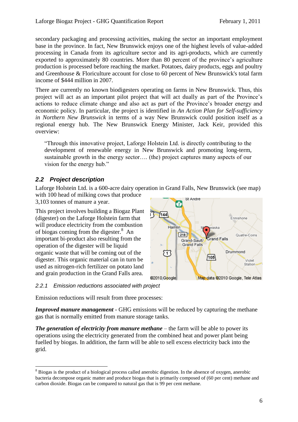secondary packaging and processing activities, making the sector an important employment base in the province. In fact, New Brunswick enjoys one of the highest levels of value-added processing in Canada from its agriculture sector and its agri-products, which are currently exported to approximately 80 countries. More than 80 percent of the province's agriculture production is processed before reaching the market. Potatoes, dairy products, eggs and poultry and Greenhouse & Floriculture account for close to 60 percent of New Brunswick's total farm income of \$444 million in 2007.

There are currently no known biodigesters operating on farms in New Brunswick. Thus, this project will act as an important pilot project that will act dually as part of the Province's actions to reduce climate change and also act as part of the Province's broader energy and economic policy. In particular, the project is identified in *An Action Plan for Self-sufficiency in Northern New Brunswick* in terms of a way New Brunswick could position itself as a regional energy hub. The New Brunswick Energy Minister, Jack Keir, provided this overview:

―Through this innovative project, Laforge Holstein Ltd. is directly contributing to the development of renewable energy in New Brunswick and promoting long-term, sustainable growth in the energy sector…. (the) project captures many aspects of our vision for the energy hub."

# <span id="page-5-0"></span>*2.2 Project description*

1

Laforge Holstein Ltd. is a 600-acre dairy operation in Grand Falls, New Brunswick (see map)

with 100 head of milking cows that produce 3,103 tonnes of manure a year.

This project involves building a Biogaz Plant (digester) on the Laforge Holstein farm that will produce electricity from the combustion of biogas coming from the digester.<sup>8</sup> An important bi-product also resulting from the operation of the digester will be liquid organic waste that will be coming out of the digester. This organic material can in turn be used as nitrogen-rich fertilizer on potato land and grain production in the Grand Falls area.



### <span id="page-5-1"></span>*2.2.1 Emission reductions associated with project*

Emission reductions will result from three processes:

*Improved manure management* - GHG emissions will be reduced by capturing the methane gas that is normally emitted from manure storage tanks.

*The generation of electricity from manure methane* – the farm will be able to power its operations using the electricity generated from the combined heat and power plant being fuelled by biogas. In addition, the farm will be able to sell excess electricity back into the grid.

<sup>&</sup>lt;sup>8</sup> Biogas is the product of a biological process called anerobic digestion. In the absence of oxygen, anerobic bacteria decompose organic matter and produce biogas that is primarily composed of (60 per cent) methane and carbon dioxide. Biogas can be compared to natural gas that is 99 per cent methane.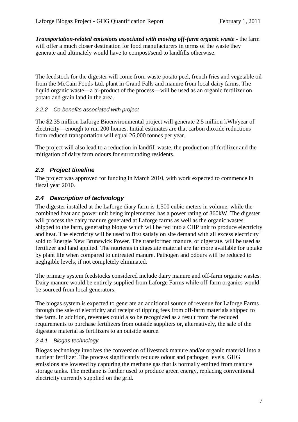*Transportation-related emissions associated with moving off-farm organic waste - the farm* will offer a much closer destination for food manufacturers in terms of the waste they generate and ultimately would have to compost/send to landfills otherwise.

The feedstock for the digester will come from waste potato peel, french fries and vegetable oil from the McCain Foods Ltd. plant in Grand Falls and manure from local dairy farms. The liquid organic waste—a bi-product of the process—will be used as an organic fertilizer on potato and grain land in the area.

### <span id="page-6-0"></span>*2.2.2 Co-benefits associated with project*

The \$2.35 million Laforge Bioenvironmental project will generate 2.5 million kWh/year of electricity—enough to run 200 homes. Initial estimates are that carbon dioxide reductions from reduced transportation will equal 26,000 tonnes per year.

The project will also lead to a reduction in landfill waste, the production of fertilizer and the mitigation of dairy farm odours for surrounding residents.

# <span id="page-6-1"></span>*2.3 Project timeline*

The project was approved for funding in March 2010, with work expected to commence in fiscal year 2010.

# <span id="page-6-2"></span>*2.4 Description of technology*

The digester installed at the Laforge diary farm is 1,500 cubic meters in volume, while the combined heat and power unit being implemented has a power rating of 360kW. The digester will process the dairy manure generated at Laforge farms as well as the organic wastes shipped to the farm, generating biogas which will be fed into a CHP unit to produce electricity and heat. The electricity will be used to first satisfy on site demand with all excess electricity sold to Énergie New Brunswick Power. The transformed manure, or digestate, will be used as fertilizer and land applied. The nutrients in digestate material are far more available for uptake by plant life when compared to untreated manure. Pathogen and odours will be reduced to negligible levels, if not completely eliminated.

The primary system feedstocks considered include dairy manure and off-farm organic wastes. Dairy manure would be entirely supplied from Laforge Farms while off-farm organics would be sourced from local generators.

The biogas system is expected to generate an additional source of revenue for Laforge Farms through the sale of electricity and receipt of tipping fees from off-farm materials shipped to the farm. In addition, revenues could also be recognized as a result from the reduced requirements to purchase fertilizers from outside suppliers or, alternatively, the sale of the digestate material as fertilizers to an outside source.

### <span id="page-6-3"></span>*2.4.1 Biogas technology*

Biogas technology involves the conversion of livestock manure and/or organic material into a nutrient fertilizer. The process significantly reduces odour and pathogen levels. GHG emissions are lowered by capturing the methane gas that is normally emitted from manure storage tanks. The methane is further used to produce green energy, replacing conventional electricity currently supplied on the grid.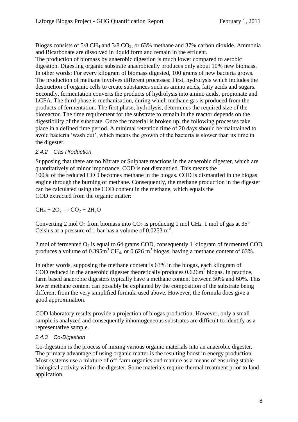Biogas consists of  $5/8$  CH<sub>4</sub> and  $3/8$  CO<sub>2</sub>, or  $63\%$  methane and  $37\%$  carbon dioxide. Ammonia and Bicarbonate are dissolved in liquid form and remain in the effluent. The production of biomass by anaerobic digestion is much lower compared to aerobic digestion. Digesting organic substrate anaerobically produces only about 10% new biomass. In other words: For every kilogram of biomass digested, 100 grams of new bacteria grows. The production of methane involves different processes: First, hydrolysis which includes the destruction of organic cells to create substances such as amino acids, fatty acids and sugars. Secondly, fermentation converts the products of hydrolysis into amino acids, propionate and LCFA. The third phase is methanisation, during which methane gas is produced from the products of fermentation. The first phase, hydrolysis, determines the required size of the bioreactor. The time requirement for the substrate to remain in the reactor depends on the digestibility of the substrate. Once the material is broken up, the following processes take place in a defined time period. A minimal retention time of 20 days should be maintained to avoid bacteria ‗wash out', which means the growth of the bacteria is slower than its time in the digester.

### <span id="page-7-0"></span>*2.4.2 Gas Production*

Supposing that there are no Nitrate or Sulphate reactions in the anaerobic digester, which are quantitatively of minor importance, COD is not dismantled. This means the 100% of the reduced COD becomes methane in the biogas. COD is dismantled in the biogas engine through the burning of methane. Consequently, the methane production in the digester can be calculated using the COD content in the methane, which equals the COD extracted from the organic matter:

 $CH_4 + 2O_2 \rightarrow CO_2 + 2H_2O$ 

Converting 2 mol  $O_2$  from biomass into  $CO_2$  is producing 1 mol CH<sub>4</sub>. 1 mol of gas at 35° Celsius at a pressure of 1 bar has a volume of  $0.0253 \text{ m}^3$ .

2 mol of fermented  $O_2$  is equal to 64 grams COD, consequently 1 kilogram of fermented COD produces a volume of  $0.395 \text{m}^3$  CH<sub>4</sub>, or  $0.626 \text{ m}^3$  biogas, having a methane content of 63%.

In other words, supposing the methane content is 63% in the biogas, each kilogram of COD reduced in the anaerobic digester theoretically produces  $0.626m<sup>3</sup>$  biogas. In practice, farm based anaerobic digesters typically have a methane content between 50% and 60%. This lower methane content can possibly be explained by the composition of the substrate being different from the very simplified formula used above. However, the formula does give a good approximation.

COD laboratory results provide a projection of biogas production. However, only a small sample is analyzed and consequently inhomogeneous substrates are difficult to identify as a representative sample.

### <span id="page-7-1"></span>*2.4.3 Co-Digestion*

Co-digestion is the process of mixing various organic materials into an anaerobic digester. The primary advantage of using organic matter is the resulting boost in energy production. Most systems use a mixture of off-farm organics and manure as a means of ensuring stable biological activity within the digester. Some materials require thermal treatment prior to land application.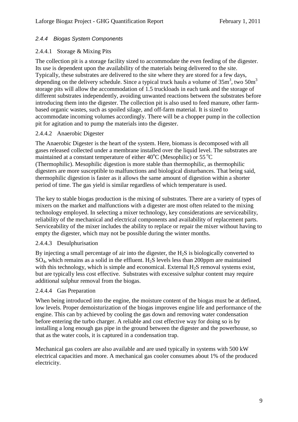#### <span id="page-8-0"></span>*2.4.4 Biogas System Components*

#### 2.4.4.1 Storage & Mixing Pits

The collection pit is a storage facility sized to accommodate the even feeding of the digester. Its use is dependent upon the availability of the materials being delivered to the site. Typically, these substrates are delivered to the site where they are stored for a few days, depending on the delivery schedule. Since a typical truck hauls a volume of  $35m<sup>3</sup>$ , two  $50m<sup>3</sup>$ storage pits will allow the accommodation of 1.5 truckloads in each tank and the storage of different substrates independently, avoiding unwanted reactions between the substrates before introducing them into the digester. The collection pit is also used to feed manure, other farmbased organic wastes, such as spoiled silage, and off-farm material. It is sized to accommodate incoming volumes accordingly. There will be a chopper pump in the collection pit for agitation and to pump the materials into the digester.

#### 2.4.4.2 Anaerobic Digester

The Anaerobic Digester is the heart of the system. Here, biomass is decomposed with all gases released collected under a membrane installed over the liquid level. The substrates are maintained at a constant temperature of either  $40^{\circ}$ C (Mesophilic) or  $55^{\circ}$ C (Thermophilic). Mesophilic digestion is more stable than thermophilic, as thermophilic digesters are more susceptible to malfunctions and biological disturbances. That being said, thermophilic digestion is faster as it allows the same amount of digestion within a shorter period of time. The gas yield is similar regardless of which temperature is used.

The key to stable biogas production is the mixing of substrates. There are a variety of types of mixers on the market and malfunctions with a digester are most often related to the mixing technology employed. In selecting a mixer technology, key considerations are serviceability, reliability of the mechanical and electrical components and availability of replacement parts. Serviceability of the mixer includes the ability to replace or repair the mixer without having to empty the digester, which may not be possible during the winter months.

#### 2.4.4.3 Desulphurisation

By injecting a small percentage of air into the digester, the  $H_2S$  is biologically converted to  $SO_4$ , which remains as a solid in the effluent. H<sub>2</sub>S levels less than 200 ppm are maintained with this technology, which is simple and economical. External  $H_2S$  removal systems exist, but are typically less cost effective. Substrates with excessive sulphur content may require additional sulphur removal from the biogas.

#### 2.4.4.4 Gas Preparation

When being introduced into the engine, the moisture content of the biogas must be at defined. low levels. Proper demoisturization of the biogas improves engine life and performance of the engine. This can by achieved by cooling the gas down and removing water condensation before entering the turbo charger. A reliable and cost effective way for doing so is by installing a long enough gas pipe in the ground between the digester and the powerhouse, so that as the water cools, it is captured in a condensation trap.

Mechanical gas coolers are also available and are used typically in systems with 500 kW electrical capacities and more. A mechanical gas cooler consumes about 1% of the produced electricity.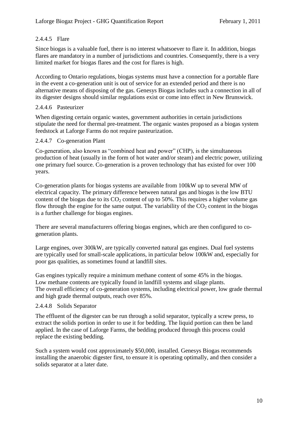### 2.4.4.5 Flare

Since biogas is a valuable fuel, there is no interest whatsoever to flare it. In addition, biogas flares are mandatory in a number of jurisdictions and countries. Consequently, there is a very limited market for biogas flares and the cost for flares is high.

According to Ontario regulations, biogas systems must have a connection for a portable flare in the event a co-generation unit is out of service for an extended period and there is no alternative means of disposing of the gas. Genesys Biogas includes such a connection in all of its digester designs should similar regulations exist or come into effect in New Brunswick.

### 2.4.4.6 Pasteurizer

When digesting certain organic wastes, government authorities in certain jurisdictions stipulate the need for thermal pre-treatment. The organic wastes proposed as a biogas system feedstock at Laforge Farms do not require pasteurization.

### 2.4.4.7 Co-generation Plant

Co-generation, also known as "combined heat and power" (CHP), is the simultaneous production of heat (usually in the form of hot water and/or steam) and electric power, utilizing one primary fuel source. Co-generation is a proven technology that has existed for over 100 years.

Co-generation plants for biogas systems are available from 100kW up to several MW of electrical capacity. The primary difference between natural gas and biogas is the low BTU content of the biogas due to its  $CO<sub>2</sub>$  content of up to 50%. This requires a higher volume gas flow through the engine for the same output. The variability of the  $CO<sub>2</sub>$  content in the biogas is a further challenge for biogas engines.

There are several manufacturers offering biogas engines, which are then configured to cogeneration plants.

Large engines, over 300kW, are typically converted natural gas engines. Dual fuel systems are typically used for small-scale applications, in particular below 100kW and, especially for poor gas qualities, as sometimes found at landfill sites.

Gas engines typically require a minimum methane content of some 45% in the biogas. Low methane contents are typically found in landfill systems and silage plants. The overall efficiency of co-generation systems, including electrical power, low grade thermal and high grade thermal outputs, reach over 85%.

### 2.4.4.8 Solids Separator

The effluent of the digester can be run through a solid separator, typically a screw press, to extract the solids portion in order to use it for bedding. The liquid portion can then be land applied. In the case of Laforge Farms, the bedding produced through this process could replace the existing bedding.

Such a system would cost approximately \$50,000, installed. Genesys Biogas recommends installing the anaerobic digester first, to ensure it is operating optimally, and then consider a solids separator at a later date.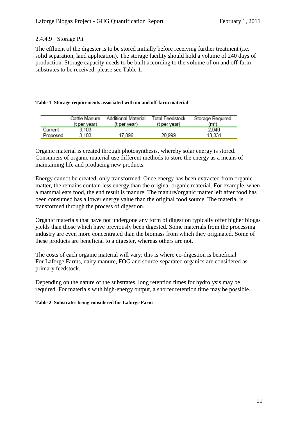#### 2.4.4.9 Storage Pit

The effluent of the digester is to be stored initially before receiving further treatment (i.e. solid separation, land application). The storage facility should hold a volume of 240 days of production. Storage capacity needs to be built according to the volume of on and off-farm substrates to be received, please see Table 1.

#### **Table 1 Storage requirements associated with on and off-farm material**

|          | Cattle Manure<br>(t per year) | Additional Material<br>(t per year) | Total Feedstock<br>(t per year) | Storage Required<br>(mª) |
|----------|-------------------------------|-------------------------------------|---------------------------------|--------------------------|
| Current  | 3.103                         |                                     |                                 | 2.040                    |
| Proposed | 3.103                         | 17.896                              | 20.999                          | 13.331                   |

Organic material is created through photosynthesis, whereby solar energy is stored. Consumers of organic material use different methods to store the energy as a means of maintaining life and producing new products.

Energy cannot be created, only transformed. Once energy has been extracted from organic matter, the remains contain less energy than the original organic material. For example, when a mammal eats food, the end result is manure. The manure/organic matter left after food has been consumed has a lower energy value than the original food source. The material is transformed through the process of digestion.

Organic materials that have not undergone any form of digestion typically offer higher biogas yields than those which have previously been digested. Some materials from the processing industry are even more concentrated than the biomass from which they originated. Some of these products are beneficial to a digester, whereas others are not.

The costs of each organic material will vary; this is where co-digestion is beneficial. For Laforge Farms, dairy manure, FOG and source-separated organics are considered as primary feedstock.

Depending on the nature of the substrates, long retention times for hydrolysis may be required. For materials with high-energy output, a shorter retention time may be possible.

#### **Table 2 Substrates being considered for Laforge Farm**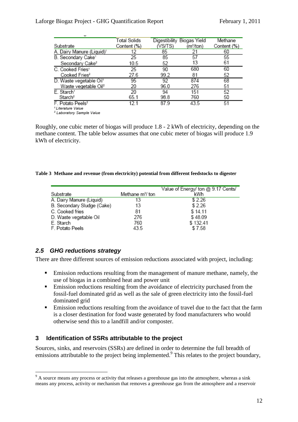|                                       | <b>Total Solids</b> | Digestibility Biogas Yield |                       | Methane     |
|---------------------------------------|---------------------|----------------------------|-----------------------|-------------|
| Substrate                             | Content (%)         | (VS/TS)                    | (m <sup>3</sup> /ton) | Content (%) |
| A. Dairy Manure (Liquid) <sup>1</sup> | 12                  | 85                         | 21                    | 60          |
| B. Secondary Cake <sup>1</sup>        | 25                  | 85                         | 57                    | 55          |
| Secondary Cake <sup>2</sup>           | 10.5                | 52                         | 13                    | 61          |
| C. Cooked Fries <sup>1</sup>          | 25                  | 90                         | 680                   | 60          |
| Cooked Fries <sup>2</sup>             | 27.6                | 99.2                       | 81                    | 52          |
| D. Waste vegetable Oil <sup>1</sup>   | 95                  | 92                         | 874                   | 68          |
| Waste vegetable Oil <sup>2</sup>      | 20                  | 96.0                       | 276                   | 51          |
| E. Starch <sup>1</sup>                | 20                  | 94                         | 151                   | 52          |
| Starch <sup>2</sup>                   | 65.1                | 98.8                       | 760                   | 50          |
| F. Potato Peels <sup>2</sup>          | 12 1                | 87.9                       | 43.5                  | 51          |
|                                       |                     |                            |                       |             |

<sup>1</sup> Literature Value <sup>2</sup> Laboratory Sample Value

Roughly, one cubic meter of biogas will produce 1.8 - 2 kWh of electricity, depending on the methane content. The table below assumes that one cubic meter of biogas will produce 1.9 kWh of electricity.

#### **Table 3 Methane and revenue (from electricity) potential from different feedstocks to digester**

|                            |                              | Value of Energy/ ton @ 9.17 Cents/ |
|----------------------------|------------------------------|------------------------------------|
| Substrate                  | Methane m <sup>3</sup> / ton | kWh                                |
| A. Dairy Manure (Liquid)   | 13                           | \$2.26                             |
| B. Secondary Sludge (Cake) | 13                           | \$2.26                             |
| C. Cooked fries            | 81                           | \$14.11                            |
| D. Waste vegetable Oil     | 276                          | \$48.09                            |
| E. Starch                  | 760                          | \$132.41                           |
| F. Potato Peels            | 43.5                         | \$7.58                             |

### <span id="page-11-0"></span>*2.5 GHG reductions strategy*

<u>.</u>

There are three different sources of emission reductions associated with project, including:

- Emission reductions resulting from the management of manure methane, namely, the use of biogas in a combined heat and power unit
- Emission reductions resulting from the avoidance of electricity purchased from the fossil-fuel dominated grid as well as the sale of green electricity into the fossil-fuel dominated grid
- Emission reductions resulting from the avoidance of travel due to the fact that the farm is a closer destination for food waste generated by food manufacturers who would otherwise send this to a landfill and/or composter.

#### <span id="page-11-1"></span>**3 Identification of SSRs attributable to the project**

Sources, sinks, and reservoirs (SSRs) are defined in order to determine the full breadth of emissions attributable to the project being implemented.<sup>9</sup> This relates to the project boundary,

<sup>&</sup>lt;sup>9</sup> A source means any process or activity that releases a greenhouse gas into the atmosphere, whereas a sink means any process, activity or mechanism that removes a greenhouse gas from the atmosphere and a reservoir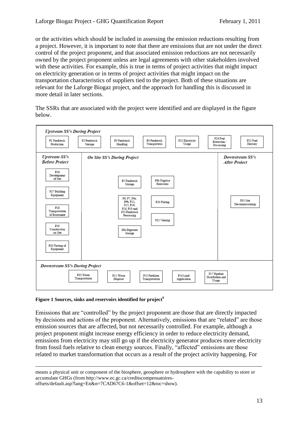or the activities which should be included in assessing the emission reductions resulting from a project. However, it is important to note that there are emissions that are not under the direct control of the project proponent, and that associated emission reductions are not necessarily owned by the project proponent unless are legal agreements with other stakeholders involved with these activities. For example, this is true in terms of project activities that might impact on electricity generation or in terms of project activities that might impact on the transportation characteristics of suppliers tied to the project. Both of these situations are relevant for the Laforge Biogaz project, and the approach for handling this is discussed in more detail in later sections.

The SSRs that are associated with the project were identified and are displayed in the figure below.



#### **Figure 1 Sources, sinks and reservoirs identified for project 9**

Emissions that are "controlled" by the project proponent are those that are directly impacted by decisions and actions of the proponent. Alternatively, emissions that are "related" are those emission sources that are affected, but not necessarily controlled. For example, although a project proponent might increase energy efficiency in order to reduce electricity demand, emissions from electricity may still go up if the electricity generator produces more electricity from fossil fuels relative to clean energy sources. Finally, "affected" emissions are those related to market transformation that occurs as a result of the project activity happening. For

 $\overline{a}$ means a physical unit or component of the biosphere, geosphere or hydrosphere with the capability to store or accumulate GHGs (from http://www.ec.gc.ca/creditscompensatoiresoffsets/default.asp?lang=En&n=7CAD67C6-1&offset=12&toc=show).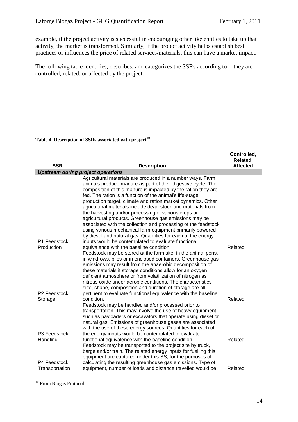example, if the project activity is successful in encouraging other like entities to take up that activity, the market is transformed. Similarly, if the project activity helps establish best practices or influences the price of related services/materials, this can have a market impact.

The following table identifies, describes, and categorizes the SSRs according to if they are controlled, related, or affected by the project.

Table 4 Description of SSRs associated with project<sup>10</sup>

|                                                   |                                                                                                                                                                                                                                                                                                                                                                                                                                                                                                                                                                                                                                           | Controlled,<br>Related, |
|---------------------------------------------------|-------------------------------------------------------------------------------------------------------------------------------------------------------------------------------------------------------------------------------------------------------------------------------------------------------------------------------------------------------------------------------------------------------------------------------------------------------------------------------------------------------------------------------------------------------------------------------------------------------------------------------------------|-------------------------|
| <b>SSR</b>                                        | <b>Description</b>                                                                                                                                                                                                                                                                                                                                                                                                                                                                                                                                                                                                                        | <b>Affected</b>         |
|                                                   | <b>Upstream during project operations</b>                                                                                                                                                                                                                                                                                                                                                                                                                                                                                                                                                                                                 |                         |
|                                                   | Agricultural materials are produced in a number ways. Farm<br>animals produce manure as part of their digestive cycle. The<br>composition of this manure is impacted by the ration they are<br>fed. The ration is a function of the animal's life-stage,<br>production target, climate and ration market dynamics. Other<br>agricultural materials include dead-stock and materials from<br>the harvesting and/or processing of various crops or<br>agricultural products. Greenhouse gas emissions may be<br>associated with the collection and processing of the feedstock<br>using various mechanical farm equipment primarily powered |                         |
| P1 Feedstock                                      | by diesel and natural gas. Quantities for each of the energy<br>inputs would be contemplated to evaluate functional                                                                                                                                                                                                                                                                                                                                                                                                                                                                                                                       |                         |
| Production<br>P <sub>2</sub> Feedstock<br>Storage | equivalence with the baseline condition.<br>Feedstock may be stored at the farm site, in the animal pens,<br>in windrows, piles or in enclosed containers. Greenhouse gas<br>emissions may result from the anaerobic decomposition of<br>these materials if storage conditions allow for an oxygen<br>deficient atmosphere or from volatilization of nitrogen as<br>nitrous oxide under aerobic conditions. The characteristics<br>size, shape, composition and duration of storage are all<br>pertinent to evaluate functional equivalence with the baseline<br>condition.                                                               | Related<br>Related      |
| P3 Feedstock                                      | Feedstock may be handled and/or processed prior to<br>transportation. This may involve the use of heavy equipment<br>such as payloaders or excavators that operate using diesel or<br>natural gas. Emissions of greenhouse gases are associated<br>with the use of these energy sources. Quantities for each of<br>the energy inputs would be contemplated to evaluate                                                                                                                                                                                                                                                                    |                         |
| Handling<br>P4 Feedstock                          | functional equivalence with the baseline condition.<br>Feedstock may be transported to the project site by truck,<br>barge and/or train. The related energy inputs for fuelling this<br>equipment are captured under this SS, for the purposes of<br>calculating the resulting greenhouse gas emissions. Type of                                                                                                                                                                                                                                                                                                                          | Related                 |
| Transportation                                    | equipment, number of loads and distance travelled would be                                                                                                                                                                                                                                                                                                                                                                                                                                                                                                                                                                                | Related                 |

<sup>10</sup> From Biogas Protocol

1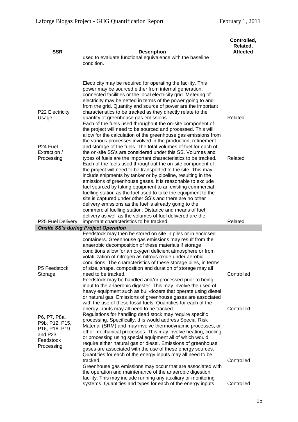| <b>SSR</b>                                                                                                                  | <b>Description</b><br>used to evaluate functional equivalence with the baseline<br>condition.                                                                                                                                                                                                                                                                                                                                                                                                                                                                                                                                                                                                                                                                                                                                                                                                          | Controlled,<br>Related,<br><b>Affected</b> |
|-----------------------------------------------------------------------------------------------------------------------------|--------------------------------------------------------------------------------------------------------------------------------------------------------------------------------------------------------------------------------------------------------------------------------------------------------------------------------------------------------------------------------------------------------------------------------------------------------------------------------------------------------------------------------------------------------------------------------------------------------------------------------------------------------------------------------------------------------------------------------------------------------------------------------------------------------------------------------------------------------------------------------------------------------|--------------------------------------------|
| P22 Electricity<br>Usage<br>P <sub>24</sub> Fuel<br>Extraction /<br>Processing                                              | Electricity may be required for operating the facility. This<br>power may be sourced either from internal generation,<br>connected facilities or the local electricity grid. Metering of<br>electricity may be netted in terms of the power going to and<br>from the grid. Quantity and source of power are the important<br>characteristics to be tracked as they directly relate to the<br>quantity of greenhouse gas emissions.<br>Each of the fuels used throughout the on-site component of<br>the project will need to be sourced and processed. This will<br>allow for the calculation of the greenhouse gas emissions from<br>the various processes involved in the production, refinement<br>and storage of the fuels. The total volumes of fuel for each of<br>the on-site SS's are considered under this SS. Volumes and<br>types of fuels are the important characteristics to be tracked. | Related<br>Related                         |
|                                                                                                                             | Each of the fuels used throughout the on-site component of<br>the project will need to be transported to the site. This may<br>include shipments by tanker or by pipeline, resulting in the<br>emissions of greenhouse gases. It is reasonable to exclude<br>fuel sourced by taking equipment to an existing commercial<br>fuelling station as the fuel used to take the equipment to the<br>site is captured under other SS's and there are no other<br>delivery emissions as the fuel is already going to the<br>commercial fuelling station. Distance and means of fuel<br>delivery as well as the volumes of fuel delivered are the                                                                                                                                                                                                                                                                |                                            |
| P25 Fuel Delivery                                                                                                           | important characteristics to be tracked.                                                                                                                                                                                                                                                                                                                                                                                                                                                                                                                                                                                                                                                                                                                                                                                                                                                               | Related                                    |
| P5 Feedstock                                                                                                                | <b>Onsite SS's during Project Operation</b><br>Feedstock may then be stored on site in piles or in enclosed<br>containers. Greenhouse gas emissions may result from the<br>anaerobic decomposition of these materials if storage<br>conditions allow for an oxygen deficient atmosphere or from<br>volatilization of nitrogen as nitrous oxide under aerobic<br>conditions. The characteristics of these storage piles, in terms<br>of size, shape, composition and duration of storage may all                                                                                                                                                                                                                                                                                                                                                                                                        |                                            |
| Storage                                                                                                                     | need to be tracked.<br>Feedstock may be handled and/or processed prior to being<br>input to the anaerobic digester. This may involve the used of<br>heavy equipment such as bull-dozers that operate using diesel<br>or natural gas. Emissions of greenhouse gases are associated<br>with the use of these fossil fuels. Quantities for each of the<br>energy inputs may all need to be tracked.                                                                                                                                                                                                                                                                                                                                                                                                                                                                                                       | Controlled<br>Controlled                   |
| P6, P7, P8a,<br>P9b, P12, P15,<br>P <sub>16</sub> , P <sub>18</sub> , P <sub>19</sub><br>and P23<br>Feedstock<br>Processing | Regulations for handling dead stock may require specific<br>processing. Specifically, this would address Special Risk<br>Material (SRM) and may involve thermodynamic processes, or<br>other mechanical processes. This may involve heating, cooling<br>or processing using special equipment all of which would<br>require either natural gas or diesel. Emissions of greenhouse<br>gases are associated with the use of these energy sources.<br>Quantities for each of the energy inputs may all need to be                                                                                                                                                                                                                                                                                                                                                                                         |                                            |
|                                                                                                                             | tracked.<br>Greenhouse gas emissions may occur that are associated with<br>the operation and maintenance of the anaerobic digestion<br>facility. This may include running any auxiliary or monitoring                                                                                                                                                                                                                                                                                                                                                                                                                                                                                                                                                                                                                                                                                                  | Controlled                                 |
|                                                                                                                             | systems. Quantities and types for each of the energy inputs                                                                                                                                                                                                                                                                                                                                                                                                                                                                                                                                                                                                                                                                                                                                                                                                                                            | Controlled                                 |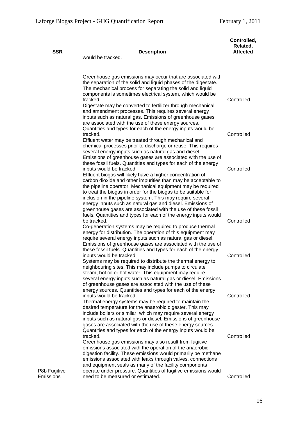| <b>SSR</b>                | <b>Description</b><br>would be tracked.                                                                                                                                                                                                                                                                                                                                                                                                                                                                                                                 | Controlled,<br>Related,<br><b>Affected</b> |
|---------------------------|---------------------------------------------------------------------------------------------------------------------------------------------------------------------------------------------------------------------------------------------------------------------------------------------------------------------------------------------------------------------------------------------------------------------------------------------------------------------------------------------------------------------------------------------------------|--------------------------------------------|
|                           | Greenhouse gas emissions may occur that are associated with<br>the separation of the solid and liquid phases of the digestate.<br>The mechanical process for separating the solid and liquid<br>components is sometimes electrical system, which would be<br>tracked.<br>Digestate may be converted to fertilizer through mechanical<br>and amendment processes. This requires several energy<br>inputs such as natural gas. Emissions of greenhouse gases<br>are associated with the use of these energy sources.                                      | Controlled                                 |
|                           | Quantities and types for each of the energy inputs would be<br>tracked.<br>Effluent water may be treated through mechanical and<br>chemical processes prior to discharge or reuse. This requires<br>several energy inputs such as natural gas and diesel.                                                                                                                                                                                                                                                                                               | Controlled                                 |
|                           | Emissions of greenhouse gases are associated with the use of<br>these fossil fuels. Quantities and types for each of the energy<br>inputs would be tracked.<br>Effluent biogas will likely have a higher concentration of<br>carbon dioxide and other impurities than may be acceptable to<br>the pipeline operator. Mechanical equipment may be required<br>to treat the biogas in order for the biogas to be suitable for<br>inclusion in the pipeline system. This may require several<br>energy inputs such as natural gas and diesel. Emissions of | Controlled                                 |
|                           | greenhouse gases are associated with the use of these fossil<br>fuels. Quantities and types for each of the energy inputs would<br>be tracked.<br>Co-generation systems may be required to produce thermal<br>energy for distribution. The operation of this equipment may<br>require several energy inputs such as natural gas or diesel.                                                                                                                                                                                                              | Controlled                                 |
|                           | Emissions of greenhouse gases are associated with the use of<br>these fossil fuels. Quantities and types for each of the energy<br>inputs would be tracked.<br>Systems may be required to distribute the thermal energy to<br>neighbouring sites. This may include pumps to circulate<br>steam, hot oil or hot water. This equipment may require<br>several energy inputs such as natural gas or diesel. Emissions<br>of greenhouse gases are associated with the use of these                                                                          | Controlled                                 |
|                           | energy sources. Quantities and types for each of the energy<br>inputs would be tracked.<br>Thermal energy systems may be required to maintain the<br>desired temperature for the anaerobic digester. This may<br>include boilers or similar, which may require several energy<br>inputs such as natural gas or diesel. Emissions of greenhouse<br>gases are associated with the use of these energy sources.                                                                                                                                            | Controlled                                 |
| P8b Fugitive<br>Emissions | Quantities and types for each of the energy inputs would be<br>tracked.<br>Greenhouse gas emissions may also result from fugitive<br>emissions associated with the operation of the anaerobic<br>digestion facility. These emissions would primarily be methane<br>emissions associated with leaks through valves, connections<br>and equipment seals as many of the facility components<br>operate under pressure. Quantities of fugitive emissions would<br>need to be measured or estimated.                                                         | Controlled<br>Controlled                   |
|                           |                                                                                                                                                                                                                                                                                                                                                                                                                                                                                                                                                         |                                            |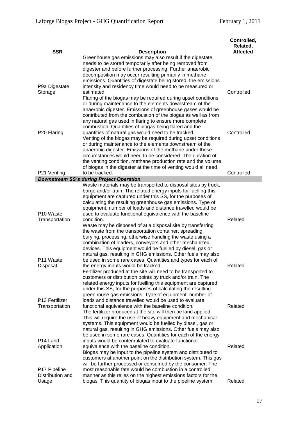| <b>SSR</b>                                          | <b>Description</b>                                                                                                                                                                                                                                                                                                                                                                                                                             | Controlled,<br>Related,<br><b>Affected</b> |
|-----------------------------------------------------|------------------------------------------------------------------------------------------------------------------------------------------------------------------------------------------------------------------------------------------------------------------------------------------------------------------------------------------------------------------------------------------------------------------------------------------------|--------------------------------------------|
|                                                     | Greenhouse gas emissions may also result if the digestate<br>needs to be stored temporarily after being removed from<br>digester and before further processing. Further anaerobic<br>decomposition may occur resulting primarily in methane<br>emissions. Quantities of digestate being stored, the emissions                                                                                                                                  |                                            |
| P9a Digestate<br>Storage                            | intensity and residency time would need to be measured or<br>estimated.<br>Flaring of the biogas may be required during upset conditions<br>or during maintenance to the elements downstream of the<br>anaerobic digester. Emissions of greenhouse gases would be                                                                                                                                                                              | Controlled                                 |
| P20 Flaring                                         | contributed from the combustion of the biogas as well as from<br>any natural gas used in flaring to ensure more complete<br>combustion. Quantities of biogas being flared and the<br>quantities of natural gas would need to be tracked.<br>Venting of the biogas may be required during upset conditions                                                                                                                                      | Controlled                                 |
|                                                     | or during maintenance to the elements downstream of the<br>anaerobic digester. Emissions of the methane under these<br>circumstances would need to be considered. The duration of<br>the venting condition, methane production rate and the volume<br>of biogas in the digester at the time of venting would all need                                                                                                                          |                                            |
| P21 Venting                                         | to be tracked.<br><b>Downstream SS's during Project Operation</b>                                                                                                                                                                                                                                                                                                                                                                              | Controlled                                 |
| P <sub>10</sub> Waste                               | Waste materials may be transported to disposal sites by truck,<br>barge and/or train. The related energy inputs for fuelling this<br>equipment are captured under this SS, for the purposes of<br>calculating the resulting greenhouse gas emissions. Type of<br>equipment, number of loads and distance travelled would be<br>used to evaluate functional equivalence with the baseline                                                       |                                            |
| Transportation                                      | condition.<br>Waste may be disposed of at a disposal site by transferring<br>the waste from the transportation container, spreading,<br>burying, processing, otherwise handling the waste using a<br>combination of loaders, conveyors and other mechanized<br>devices. This equipment would be fuelled by diesel, gas or<br>natural gas, resulting in GHG emissions. Other fuels may also                                                     | Related                                    |
| P11 Waste<br>Disposal                               | be used in some rare cases. Quantities and types for each of<br>the energy inputs would be tracked.<br>Fertilizer produced at the site will need to be transported to<br>customers or distribution points by truck and/or train. The<br>related energy inputs for fuelling this equipment are captured<br>under this SS, for the purposes of calculating the resulting<br>greenhouse gas emissions. Type of equipment, number of               | Related                                    |
| P13 Fertilizer<br>Transportation                    | loads and distance travelled would be used to evaluate<br>functional equivalence with the baseline condition.<br>The fertilizer produced at the site will then be land applied.<br>This will require the use of heavy equipment and mechanical<br>systems. This equipment would be fuelled by diesel, gas or<br>natural gas, resulting in GHG emissions. Other fuels may also<br>be used in some rare cases. Quantities for each of the energy | Related                                    |
| P <sub>14</sub> Land<br>Application<br>P17 Pipeline | inputs would be contemplated to evaluate functional<br>equivalence with the baseline condition.<br>Biogas may be input to the pipeline system and distributed to<br>customers at another point on the distribution system. This gas<br>will be further processed or consumed by the consumer. The<br>most reasonable fate would be combustion in a controlled                                                                                  | Related                                    |
| Distribution and<br>Usage                           | manner as this relies on the highest emissions factors for the<br>biogas. This quantity of biogas input to the pipeline system                                                                                                                                                                                                                                                                                                                 | Related                                    |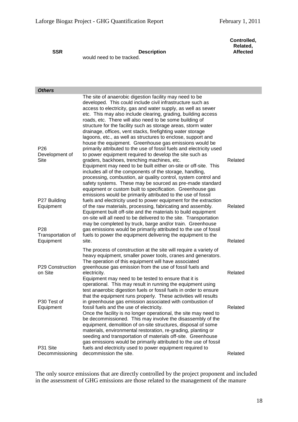**Controlled, Related, Affected**

#### **SSR Description**

would need to be tracked.

| <b>Others</b>                                                                  |                                                                                                                                                                                                                                                                                                                                                                                                                                                                                                                                                                                                                                                     |                    |
|--------------------------------------------------------------------------------|-----------------------------------------------------------------------------------------------------------------------------------------------------------------------------------------------------------------------------------------------------------------------------------------------------------------------------------------------------------------------------------------------------------------------------------------------------------------------------------------------------------------------------------------------------------------------------------------------------------------------------------------------------|--------------------|
| P <sub>26</sub>                                                                | The site of anaerobic digestion facility may need to be<br>developed. This could include civil infrastructure such as<br>access to electricity, gas and water supply, as well as sewer<br>etc. This may also include clearing, grading, building access<br>roads, etc. There will also need to be some building of<br>structure for the facility such as storage areas, storm water<br>drainage, offices, vent stacks, firefighting water storage<br>lagoons, etc., as well as structures to enclose, support and<br>house the equipment. Greenhouse gas emissions would be<br>primarily attributed to the use of fossil fuels and electricity used |                    |
| Development of<br>Site                                                         | to power equipment required to develop the site such as<br>graders, backhoes, trenching machines, etc.<br>Equipment may need to be built either on-site or off-site. This<br>includes all of the components of the storage, handling,<br>processing, combustion, air quality control, system control and<br>safety systems. These may be sourced as pre-made standard<br>equipment or custom built to specification. Greenhouse gas<br>emissions would be primarily attributed to the use of fossil                                                                                                                                                 | Related            |
| P27 Building<br>Equipment<br>P <sub>28</sub><br>Transportation of<br>Equipment | fuels and electricity used to power equipment for the extraction<br>of the raw materials, processing, fabricating and assembly.<br>Equipment built off-site and the materials to build equipment<br>on-site will all need to be delivered to the site. Transportation<br>may be completed by truck, barge and/or train. Greenhouse<br>gas emissions would be primarily attributed to the use of fossil<br>fuels to power the equipment delivering the equipment to the<br>site.                                                                                                                                                                     | Related<br>Related |
| P29 Construction<br>on Site                                                    | The process of construction at the site will require a variety of<br>heavy equipment, smaller power tools, cranes and generators.<br>The operation of this equipment will have associated<br>greenhouse gas emission from the use of fossil fuels and<br>electricity.<br>Equipment may need to be tested to ensure that it is<br>operational. This may result in running the equipment using<br>test anaerobic digestion fuels or fossil fuels in order to ensure<br>that the equipment runs properly. These activities will results                                                                                                                | Related            |
| P30 Test of<br>Equipment<br>P31 Site<br>Decommissioning                        | in greenhouse gas emission associated with combustion of<br>fossil fuels and the use of electricity.<br>Once the facility is no longer operational, the site may need to<br>be decommissioned. This may involve the disassembly of the<br>equipment, demolition of on-site structures, disposal of some<br>materials, environmental restoration, re-grading, planting or<br>seeding and transportation of materials off-site. Greenhouse<br>gas emissions would be primarily attributed to the use of fossil<br>fuels and electricity used to power equipment required to<br>decommission the site.                                                 | Related<br>Related |

The only source emissions that are directly controlled by the project proponent and included in the assessment of GHG emissions are those related to the management of the manure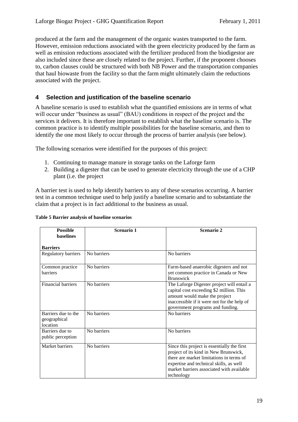produced at the farm and the management of the organic wastes transported to the farm. However, emission reductions associated with the green electricity produced by the farm as well as emission reductions associated with the fertilizer produced from the biodigestor are also included since these are closely related to the project. Further, if the proponent chooses to, carbon clauses could be structured with both NB Power and the transportation companies that haul biowaste from the facility so that the farm might ultimately claim the reductions associated with the project.

### <span id="page-18-0"></span>**4 Selection and justification of the baseline scenario**

A baseline scenario is used to establish what the quantified emissions are in terms of what will occur under "business as usual" (BAU) conditions in respect of the project and the services it delivers. It is therefore important to establish what the baseline scenario is. The common practice is to identify multiple possibilities for the baseline scenario, and then to identify the one most likely to occur through the process of barrier analysis (see below).

The following scenarios were identified for the purposes of this project:

- 1. Continuing to manage manure in storage tanks on the Laforge farm
- 2. Building a digester that can be used to generate electricity through the use of a CHP plant (i.e. the project

A barrier test is used to help identify barriers to any of these scenarios occurring. A barrier test in a common technique used to help justify a baseline scenario and to substantiate the claim that a project is in fact additional to the business as usual.

| <b>Possible</b><br><b>haselines</b>             | Scenario 1  | Scenario 2                                                                                                                                                                                                                             |
|-------------------------------------------------|-------------|----------------------------------------------------------------------------------------------------------------------------------------------------------------------------------------------------------------------------------------|
|                                                 |             |                                                                                                                                                                                                                                        |
| <b>Barriers</b>                                 |             |                                                                                                                                                                                                                                        |
| Regulatory barriers                             | No barriers | No barriers                                                                                                                                                                                                                            |
| Common practice<br><b>barriers</b>              | No barriers | Farm-based anaerobic digesters and not<br>yet common practice in Canada or New<br><b>Brunswick</b>                                                                                                                                     |
| <b>Financial barriers</b>                       | No barriers | The Laforge Digester project will entail a<br>capital cost exceeding \$2 million. This<br>amount would make the project<br>inaccessible if it were not for the help of<br>government programs and funding.                             |
| Barriers due to the<br>geographical<br>location | No barriers | No barriers                                                                                                                                                                                                                            |
| Barriers due to<br>public perception            | No barriers | No barriers                                                                                                                                                                                                                            |
| Market barriers                                 | No barriers | Since this project is essentially the first<br>project of its kind in New Brunswick,<br>there are market limitations in terms of<br>expertise and technical skills, as well<br>market barriers associated with available<br>technology |

#### **Table 5 Barrier analysis of baseline scenarios**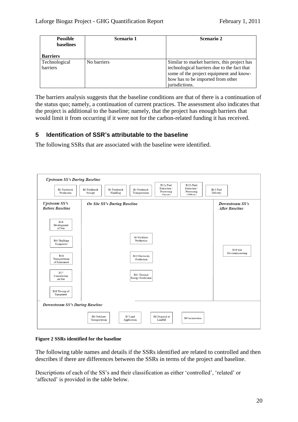| <b>Possible</b>  | Scenario 1  | Scenario 2                                   |
|------------------|-------------|----------------------------------------------|
| <b>baselines</b> |             |                                              |
|                  |             |                                              |
| <b>Barriers</b>  |             |                                              |
| Technological    | No barriers | Similar to market barriers, this project has |
| barriers         |             | technological barriers due to the fact that  |
|                  |             | some of the project equipment and know-      |
|                  |             | how has to be imported from other            |
|                  |             | jurisdictions.                               |

The barriers analysis suggests that the baseline conditions are that of there is a continuation of the status quo; namely, a continuation of current practices. The assessment also indicates that the project is additional to the baseline; namely, that the project has enough barriers that would limit it from occurring if it were not for the carbon-related funding it has received.

## <span id="page-19-0"></span>**5 Identification of SSR's attributable to the baseline**

The following SSRs that are associated with the baseline were identified.

| <b>Upstream SS's During Baseline</b><br><b>B1 Feedstock</b><br>Production | B12a Fuel<br>B12b Fuel<br>Extraction /<br>Extraction /<br>B4 Feedstock<br><b>B2</b> Feedstock<br><b>B3</b> Feedstock<br>Processing<br>Processing<br>Handling<br>Transportation<br>Storage<br>(Offsite)<br>(On site) | B13 Fuel<br>Delivery                     |
|---------------------------------------------------------------------------|---------------------------------------------------------------------------------------------------------------------------------------------------------------------------------------------------------------------|------------------------------------------|
| <b>Upstream SS's</b><br><b>Before Baseline</b>                            | On Site SS's During Baseline                                                                                                                                                                                        | Downstream SS's<br><b>After Baseline</b> |
| <b>B14</b><br>Development<br>of Site                                      |                                                                                                                                                                                                                     |                                          |
| B15 Building<br>Equipment                                                 | <b>B5</b> Fertilizer<br>Production                                                                                                                                                                                  | B19 Site                                 |
| <b>B16</b><br>Transportation<br>of Equipment                              | <b>B10 Electricity</b><br>Production                                                                                                                                                                                | Decommissioning                          |
| <b>B17</b><br>Construction<br>on Site                                     | B11 Thermal<br>Energy Production                                                                                                                                                                                    |                                          |
| B18 Testing of<br>Equipment                                               |                                                                                                                                                                                                                     |                                          |
| Downstream SS's During Baseline                                           |                                                                                                                                                                                                                     |                                          |
|                                                                           | B6 Fertilizer<br>B7 Land<br>B8 Disposal at<br>B9 Incineration<br>Transportation<br>Application<br>Landfill                                                                                                          |                                          |

#### **Figure 2 SSRs identified for the baseline**

The following table names and details if the SSRs identified are related to controlled and then describes if there are differences between the SSRs in terms of the project and baseline.

Descriptions of each of the SS's and their classification as either 'controlled', 'related' or 'affected' is provided in the table below.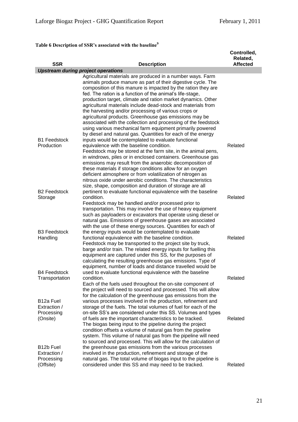# **Table 6 Description of SSR's associated with the baseline<sup>9</sup>**

| <b>SSR</b>                                                      | <b>Description</b>                                                                                                                                                                                                                                                                                                                                                                                                                                                                                                                                                                                                                                                                                        | Controlled,<br>Related,<br><b>Affected</b> |
|-----------------------------------------------------------------|-----------------------------------------------------------------------------------------------------------------------------------------------------------------------------------------------------------------------------------------------------------------------------------------------------------------------------------------------------------------------------------------------------------------------------------------------------------------------------------------------------------------------------------------------------------------------------------------------------------------------------------------------------------------------------------------------------------|--------------------------------------------|
|                                                                 | <b>Upstream during project operations</b>                                                                                                                                                                                                                                                                                                                                                                                                                                                                                                                                                                                                                                                                 |                                            |
|                                                                 | Agricultural materials are produced in a number ways. Farm<br>animals produce manure as part of their digestive cycle. The<br>composition of this manure is impacted by the ration they are<br>fed. The ration is a function of the animal's life-stage,<br>production target, climate and ration market dynamics. Other<br>agricultural materials include dead-stock and materials from<br>the harvesting and/or processing of various crops or<br>agricultural products. Greenhouse gas emissions may be<br>associated with the collection and processing of the feedstock<br>using various mechanical farm equipment primarily powered<br>by diesel and natural gas. Quantities for each of the energy |                                            |
| <b>B1 Feedstock</b><br>Production                               | inputs would be contemplated to evaluate functional<br>equivalence with the baseline condition.<br>Feedstock may be stored at the farm site, in the animal pens,<br>in windrows, piles or in enclosed containers. Greenhouse gas<br>emissions may result from the anaerobic decomposition of<br>these materials if storage conditions allow for an oxygen<br>deficient atmosphere or from volatilization of nitrogen as<br>nitrous oxide under aerobic conditions. The characteristics<br>size, shape, composition and duration of storage are all                                                                                                                                                        | Related                                    |
| <b>B2 Feedstock</b><br>Storage                                  | pertinent to evaluate functional equivalence with the baseline<br>condition.<br>Feedstock may be handled and/or processed prior to<br>transportation. This may involve the use of heavy equipment<br>such as payloaders or excavators that operate using diesel or<br>natural gas. Emissions of greenhouse gases are associated<br>with the use of these energy sources. Quantities for each of                                                                                                                                                                                                                                                                                                           | Related                                    |
| <b>B3 Feedstock</b><br>Handling                                 | the energy inputs would be contemplated to evaluate<br>functional equivalence with the baseline condition.<br>Feedstock may be transported to the project site by truck,<br>barge and/or train. The related energy inputs for fuelling this<br>equipment are captured under this SS, for the purposes of<br>calculating the resulting greenhouse gas emissions. Type of<br>equipment, number of loads and distance travelled would be                                                                                                                                                                                                                                                                     | Related                                    |
| <b>B4 Feedstock</b><br>Transportation<br>B <sub>12</sub> a Fuel | used to evaluate functional equivalence with the baseline<br>condition.<br>Each of the fuels used throughout the on-site component of<br>the project will need to sourced and processed. This will allow<br>for the calculation of the greenhouse gas emissions from the<br>various processes involved in the production, refinement and                                                                                                                                                                                                                                                                                                                                                                  | Related                                    |
| Extraction /<br>Processing<br>(Onsite)                          | storage of the fuels. The total volumes of fuel for each of the<br>on-site SS's are considered under this SS. Volumes and types<br>of fuels are the important characteristics to be tracked.<br>The biogas being input to the pipeline during the project<br>condition offsets a volume of natural gas from the pipeline<br>system. This volume of natural gas from the pipeline will need<br>to sourced and processed. This will allow for the calculation of                                                                                                                                                                                                                                            | Related                                    |
| B12b Fuel<br>Extraction /<br>Processing<br>(Offsite)            | the greenhouse gas emissions from the various processes<br>involved in the production, refinement and storage of the<br>natural gas. The total volume of biogas input to the pipeline is<br>considered under this SS and may need to be tracked.                                                                                                                                                                                                                                                                                                                                                                                                                                                          | Related                                    |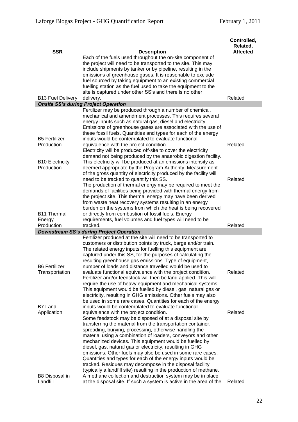| <b>SSR</b>                                 | <b>Description</b>                                                                                                                                                                                                                                                                                                                                                                                                                                                                                                                                                                                                                                                                   | Controlled,<br>Related,<br><b>Affected</b> |
|--------------------------------------------|--------------------------------------------------------------------------------------------------------------------------------------------------------------------------------------------------------------------------------------------------------------------------------------------------------------------------------------------------------------------------------------------------------------------------------------------------------------------------------------------------------------------------------------------------------------------------------------------------------------------------------------------------------------------------------------|--------------------------------------------|
|                                            | Each of the fuels used throughout the on-site component of<br>the project will need to be transported to the site. This may<br>include shipments by tanker or by pipeline, resulting in the<br>emissions of greenhouse gases. It is reasonable to exclude<br>fuel sourced by taking equipment to an existing commercial<br>fuelling station as the fuel used to take the equipment to the<br>site is captured under other SS's and there is no other                                                                                                                                                                                                                                 |                                            |
| <b>B13 Fuel Delivery</b>                   | delivery.                                                                                                                                                                                                                                                                                                                                                                                                                                                                                                                                                                                                                                                                            | Related                                    |
|                                            | <b>Onsite SS's during Project Operation</b>                                                                                                                                                                                                                                                                                                                                                                                                                                                                                                                                                                                                                                          |                                            |
| <b>B5 Fertilizer</b>                       | Fertilizer may be produced through a number of chemical,<br>mechanical and amendment processes. This requires several<br>energy inputs such as natural gas, diesel and electricity.<br>Emissions of greenhouse gases are associated with the use of<br>these fossil fuels. Quantities and types for each of the energy<br>inputs would be contemplated to evaluate functional                                                                                                                                                                                                                                                                                                        |                                            |
| Production<br><b>B10 Electricity</b>       | equivalence with the project condition.<br>Electricity will be produced off-site to cover the electricity<br>demand not being produced by the anaerobic digestion facility.<br>This electricity will be produced at an emissions intensity as                                                                                                                                                                                                                                                                                                                                                                                                                                        | Related                                    |
| Production                                 | deemed appropriate by the Program Authority. Measurement<br>of the gross quantity of electricity produced by the facility will<br>need to be tracked to quantify this SS.<br>The production of thermal energy may be required to meet the                                                                                                                                                                                                                                                                                                                                                                                                                                            | Related                                    |
| <b>B11 Thermal</b><br>Energy<br>Production | demands of facilities being provided with thermal energy from<br>the project site. This thermal energy may have been derived<br>from waste heat recovery systems resulting in an energy<br>burden on the systems from which the heat is being recovered<br>or directly from combustion of fossil fuels. Energy<br>requirements, fuel volumes and fuel types will need to be<br>tracked.                                                                                                                                                                                                                                                                                              | Related                                    |
|                                            | <b>Downstream SS's during Project Operation</b>                                                                                                                                                                                                                                                                                                                                                                                                                                                                                                                                                                                                                                      |                                            |
| <b>B6 Fertilizer</b>                       | Fertilizer produced at the site will need to be transported to<br>customers or distribution points by truck, barge and/or train.<br>The related energy inputs for fuelling this equipment are<br>captured under this SS, for the purposes of calculating the<br>resulting greenhouse gas emissions. Type of equipment,<br>number of loads and distance travelled would be used to                                                                                                                                                                                                                                                                                                    |                                            |
| Transportation<br>B7 Land                  | evaluate functional equivalence with the project condition.<br>Fertilizer and/or feedstock will then be land applied. This will<br>require the use of heavy equipment and mechanical systems.<br>This equipment would be fuelled by diesel, gas, natural gas or<br>electricity, resulting in GHG emissions. Other fuels may also<br>be used in some rare cases. Quantities for each of the energy<br>inputs would be contemplated to evaluate functional                                                                                                                                                                                                                             | Related                                    |
| Application                                | equivalence with the project condition.<br>Some feedstock may be disposed of at a disposal site by<br>transferring the material from the transportation container,<br>spreading, burying, processing, otherwise handling the<br>material using a combination of loaders, conveyors and other<br>mechanized devices. This equipment would be fuelled by<br>diesel, gas, natural gas or electricity, resulting in GHG<br>emissions. Other fuels may also be used in some rare cases.<br>Quantities and types for each of the energy inputs would be<br>tracked. Residues may decompose in the disposal facility<br>(typically a landfill site) resulting in the production of methane. | Related                                    |
| B8 Disposal in<br>Landfill                 | A methane collection and destruction system may be in place<br>at the disposal site. If such a system is active in the area of the                                                                                                                                                                                                                                                                                                                                                                                                                                                                                                                                                   | Related                                    |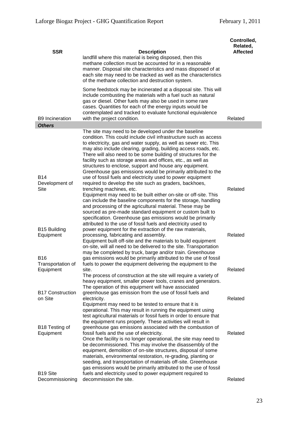| <b>SSR</b>                              | <b>Description</b><br>landfill where this material is being disposed, then this<br>methane collection must be accounted for in a reasonable<br>manner. Disposal site characteristics and mass disposed of at<br>each site may need to be tracked as well as the characteristics<br>of the methane collection and destruction system.                                                                                                                                                                                                                                                          | Controlled,<br>Related,<br><b>Affected</b> |
|-----------------------------------------|-----------------------------------------------------------------------------------------------------------------------------------------------------------------------------------------------------------------------------------------------------------------------------------------------------------------------------------------------------------------------------------------------------------------------------------------------------------------------------------------------------------------------------------------------------------------------------------------------|--------------------------------------------|
| <b>B9 Incineration</b>                  | Some feedstock may be incinerated at a disposal site. This will<br>include combusting the materials with a fuel such as natural<br>gas or diesel. Other fuels may also be used in some rare<br>cases. Quantities for each of the energy inputs would be<br>contemplated and tracked to evaluate functional equivalence<br>with the project condition.                                                                                                                                                                                                                                         | Related                                    |
| <b>Others</b>                           |                                                                                                                                                                                                                                                                                                                                                                                                                                                                                                                                                                                               |                                            |
| <b>B14</b>                              | The site may need to be developed under the baseline<br>condition. This could include civil infrastructure such as access<br>to electricity, gas and water supply, as well as sewer etc. This<br>may also include clearing, grading, building access roads, etc.<br>There will also need to be some building of structures for the<br>facility such as storage areas and offices, etc., as well as<br>structures to enclose, support and house any equipment.<br>Greenhouse gas emissions would be primarily attributed to the<br>use of fossil fuels and electricity used to power equipment |                                            |
| Development of<br>Site                  | required to develop the site such as graders, backhoes,<br>trenching machines, etc.<br>Equipment may need to be built either on-site or off-site. This<br>can include the baseline components for the storage, handling<br>and processing of the agricultural material. These may be<br>sourced as pre-made standard equipment or custom built to<br>specification. Greenhouse gas emissions would be primarily<br>attributed to the use of fossil fuels and electricity used to                                                                                                              | Related                                    |
| B15 Building<br>Equipment               | power equipment for the extraction of the raw materials,<br>processing, fabricating and assembly.<br>Equipment built off-site and the materials to build equipment<br>on-site, will all need to be delivered to the site. Transportation<br>may be completed by truck, barge and/or train. Greenhouse                                                                                                                                                                                                                                                                                         | Related                                    |
| B16<br>Transportation of<br>Equipment   | gas emissions would be primarily attributed to the use of fossil<br>fuels to power the equipment delivering the equipment to the<br>site.                                                                                                                                                                                                                                                                                                                                                                                                                                                     | Related                                    |
| <b>B17 Construction</b>                 | The process of construction at the site will require a variety of<br>heavy equipment, smaller power tools, cranes and generators.<br>The operation of this equipment will have associated                                                                                                                                                                                                                                                                                                                                                                                                     |                                            |
| on Site                                 | greenhouse gas emission from the use of fossil fuels and<br>electricity.<br>Equipment may need to be tested to ensure that it is<br>operational. This may result in running the equipment using<br>test agricultural materials or fossil fuels in order to ensure that<br>the equipment runs properly. These activities will result in                                                                                                                                                                                                                                                        | Related                                    |
| B18 Testing of<br>Equipment             | greenhouse gas emissions associated with the combustion of<br>fossil fuels and the use of electricity.<br>Once the facility is no longer operational, the site may need to<br>be decommissioned. This may involve the disassembly of the<br>equipment, demolition of on-site structures, disposal of some<br>materials, environmental restoration, re-grading, planting or<br>seeding, and transportation of materials off-site. Greenhouse<br>gas emissions would be primarily attributed to the use of fossil                                                                               | Related                                    |
| B <sub>19</sub> Site<br>Decommissioning | fuels and electricity used to power equipment required to<br>decommission the site.                                                                                                                                                                                                                                                                                                                                                                                                                                                                                                           | Related                                    |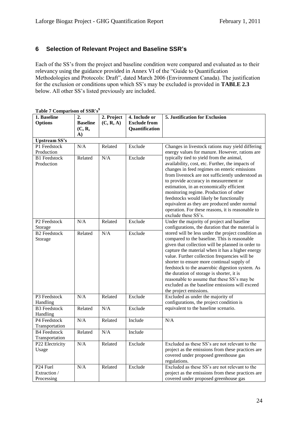## <span id="page-23-0"></span>**6 Selection of Relevant Project and Baseline SSR's**

Each of the SS's from the project and baseline condition were compared and evaluated as to their relevancy using the guidance provided in Annex VI of the "Guide to Quantification" Methodologies and Protocols: Draft", dated March 2006 (Environment Canada). The justification for the exclusion or conditions upon which SS's may be excluded is provided in **TABLE 2.3**  below. All other SS's listed previously are included.

| <b>Options</b><br><b>Baseline</b><br><b>Exclude from</b><br>(C, R, A)<br>(C, R,<br>Quantification<br>A)<br><b>Upstream SS's</b><br>P1 Feedstock<br>N/A<br>Exclude<br>Changes in livestock rations may yield differing<br>Related<br>energy values for manure. However, rations are<br>Production<br><b>B1</b> Feedstock<br>N/A<br>Exclude<br>typically tied to yield from the animal,<br>Related<br>availability, cost, etc. Further, the impacts of<br>Production<br>changes in feed regimes on enteric emissions<br>from livestock are not sufficiently understood as<br>to provide accuracy in measurement or<br>estimation, in an economically efficient<br>monitoring regime. Production of other<br>feedstocks would likely be functionally<br>equivalent as they are produced under normal<br>operation. For these reasons, it is reasonable to<br>exclude these SS's.<br>Under the majority of project and baseline<br>$\overline{P2}$ Feedstock<br>N/A<br>Related<br>Exclude<br>configurations, the duration that the material is<br>Storage<br><b>B2</b> Feedstock<br>N/A<br>Related<br>Exclude<br>stored will be less under the project condition as<br>compared to the baseline. This is reasonable<br>Storage<br>given that collection will be planned in order to<br>capture the material when it has a higher energy<br>value. Further collection frequencies will be<br>shorter to ensure more continual supply of<br>feedstock to the anaerobic digestion system. As<br>the duration of storage is shorter, it is<br>reasonable to assume that these SS's may be<br>excluded as the baseline emissions will exceed<br>the project emissions.<br>N/A<br>Exclude<br>P3 Feedstock<br>Related<br>Excluded as under the majority of<br>configurations, the project condition is<br>Handling<br><b>B3</b> Feedstock<br>Related<br>N/A<br>Exclude<br>equivalent to the baseline scenario.<br>Handling<br>P4 Feedstock<br>N/A<br>Related<br>Include<br>N/A | 1. Baseline    | таше / Сошрагізон от ээіх з<br>2. | 2. Project | 4. Include or | 5. Justification for Exclusion |
|---------------------------------------------------------------------------------------------------------------------------------------------------------------------------------------------------------------------------------------------------------------------------------------------------------------------------------------------------------------------------------------------------------------------------------------------------------------------------------------------------------------------------------------------------------------------------------------------------------------------------------------------------------------------------------------------------------------------------------------------------------------------------------------------------------------------------------------------------------------------------------------------------------------------------------------------------------------------------------------------------------------------------------------------------------------------------------------------------------------------------------------------------------------------------------------------------------------------------------------------------------------------------------------------------------------------------------------------------------------------------------------------------------------------------------------------------------------------------------------------------------------------------------------------------------------------------------------------------------------------------------------------------------------------------------------------------------------------------------------------------------------------------------------------------------------------------------------------------------------------------------------------------------------------------------------------------------------------|----------------|-----------------------------------|------------|---------------|--------------------------------|
|                                                                                                                                                                                                                                                                                                                                                                                                                                                                                                                                                                                                                                                                                                                                                                                                                                                                                                                                                                                                                                                                                                                                                                                                                                                                                                                                                                                                                                                                                                                                                                                                                                                                                                                                                                                                                                                                                                                                                                     |                |                                   |            |               |                                |
|                                                                                                                                                                                                                                                                                                                                                                                                                                                                                                                                                                                                                                                                                                                                                                                                                                                                                                                                                                                                                                                                                                                                                                                                                                                                                                                                                                                                                                                                                                                                                                                                                                                                                                                                                                                                                                                                                                                                                                     |                |                                   |            |               |                                |
|                                                                                                                                                                                                                                                                                                                                                                                                                                                                                                                                                                                                                                                                                                                                                                                                                                                                                                                                                                                                                                                                                                                                                                                                                                                                                                                                                                                                                                                                                                                                                                                                                                                                                                                                                                                                                                                                                                                                                                     |                |                                   |            |               |                                |
|                                                                                                                                                                                                                                                                                                                                                                                                                                                                                                                                                                                                                                                                                                                                                                                                                                                                                                                                                                                                                                                                                                                                                                                                                                                                                                                                                                                                                                                                                                                                                                                                                                                                                                                                                                                                                                                                                                                                                                     |                |                                   |            |               |                                |
|                                                                                                                                                                                                                                                                                                                                                                                                                                                                                                                                                                                                                                                                                                                                                                                                                                                                                                                                                                                                                                                                                                                                                                                                                                                                                                                                                                                                                                                                                                                                                                                                                                                                                                                                                                                                                                                                                                                                                                     |                |                                   |            |               |                                |
|                                                                                                                                                                                                                                                                                                                                                                                                                                                                                                                                                                                                                                                                                                                                                                                                                                                                                                                                                                                                                                                                                                                                                                                                                                                                                                                                                                                                                                                                                                                                                                                                                                                                                                                                                                                                                                                                                                                                                                     |                |                                   |            |               |                                |
|                                                                                                                                                                                                                                                                                                                                                                                                                                                                                                                                                                                                                                                                                                                                                                                                                                                                                                                                                                                                                                                                                                                                                                                                                                                                                                                                                                                                                                                                                                                                                                                                                                                                                                                                                                                                                                                                                                                                                                     |                |                                   |            |               |                                |
|                                                                                                                                                                                                                                                                                                                                                                                                                                                                                                                                                                                                                                                                                                                                                                                                                                                                                                                                                                                                                                                                                                                                                                                                                                                                                                                                                                                                                                                                                                                                                                                                                                                                                                                                                                                                                                                                                                                                                                     |                |                                   |            |               |                                |
|                                                                                                                                                                                                                                                                                                                                                                                                                                                                                                                                                                                                                                                                                                                                                                                                                                                                                                                                                                                                                                                                                                                                                                                                                                                                                                                                                                                                                                                                                                                                                                                                                                                                                                                                                                                                                                                                                                                                                                     |                |                                   |            |               |                                |
|                                                                                                                                                                                                                                                                                                                                                                                                                                                                                                                                                                                                                                                                                                                                                                                                                                                                                                                                                                                                                                                                                                                                                                                                                                                                                                                                                                                                                                                                                                                                                                                                                                                                                                                                                                                                                                                                                                                                                                     |                |                                   |            |               |                                |
|                                                                                                                                                                                                                                                                                                                                                                                                                                                                                                                                                                                                                                                                                                                                                                                                                                                                                                                                                                                                                                                                                                                                                                                                                                                                                                                                                                                                                                                                                                                                                                                                                                                                                                                                                                                                                                                                                                                                                                     |                |                                   |            |               |                                |
|                                                                                                                                                                                                                                                                                                                                                                                                                                                                                                                                                                                                                                                                                                                                                                                                                                                                                                                                                                                                                                                                                                                                                                                                                                                                                                                                                                                                                                                                                                                                                                                                                                                                                                                                                                                                                                                                                                                                                                     |                |                                   |            |               |                                |
|                                                                                                                                                                                                                                                                                                                                                                                                                                                                                                                                                                                                                                                                                                                                                                                                                                                                                                                                                                                                                                                                                                                                                                                                                                                                                                                                                                                                                                                                                                                                                                                                                                                                                                                                                                                                                                                                                                                                                                     |                |                                   |            |               |                                |
|                                                                                                                                                                                                                                                                                                                                                                                                                                                                                                                                                                                                                                                                                                                                                                                                                                                                                                                                                                                                                                                                                                                                                                                                                                                                                                                                                                                                                                                                                                                                                                                                                                                                                                                                                                                                                                                                                                                                                                     |                |                                   |            |               |                                |
|                                                                                                                                                                                                                                                                                                                                                                                                                                                                                                                                                                                                                                                                                                                                                                                                                                                                                                                                                                                                                                                                                                                                                                                                                                                                                                                                                                                                                                                                                                                                                                                                                                                                                                                                                                                                                                                                                                                                                                     |                |                                   |            |               |                                |
|                                                                                                                                                                                                                                                                                                                                                                                                                                                                                                                                                                                                                                                                                                                                                                                                                                                                                                                                                                                                                                                                                                                                                                                                                                                                                                                                                                                                                                                                                                                                                                                                                                                                                                                                                                                                                                                                                                                                                                     |                |                                   |            |               |                                |
|                                                                                                                                                                                                                                                                                                                                                                                                                                                                                                                                                                                                                                                                                                                                                                                                                                                                                                                                                                                                                                                                                                                                                                                                                                                                                                                                                                                                                                                                                                                                                                                                                                                                                                                                                                                                                                                                                                                                                                     |                |                                   |            |               |                                |
|                                                                                                                                                                                                                                                                                                                                                                                                                                                                                                                                                                                                                                                                                                                                                                                                                                                                                                                                                                                                                                                                                                                                                                                                                                                                                                                                                                                                                                                                                                                                                                                                                                                                                                                                                                                                                                                                                                                                                                     |                |                                   |            |               |                                |
|                                                                                                                                                                                                                                                                                                                                                                                                                                                                                                                                                                                                                                                                                                                                                                                                                                                                                                                                                                                                                                                                                                                                                                                                                                                                                                                                                                                                                                                                                                                                                                                                                                                                                                                                                                                                                                                                                                                                                                     |                |                                   |            |               |                                |
|                                                                                                                                                                                                                                                                                                                                                                                                                                                                                                                                                                                                                                                                                                                                                                                                                                                                                                                                                                                                                                                                                                                                                                                                                                                                                                                                                                                                                                                                                                                                                                                                                                                                                                                                                                                                                                                                                                                                                                     |                |                                   |            |               |                                |
|                                                                                                                                                                                                                                                                                                                                                                                                                                                                                                                                                                                                                                                                                                                                                                                                                                                                                                                                                                                                                                                                                                                                                                                                                                                                                                                                                                                                                                                                                                                                                                                                                                                                                                                                                                                                                                                                                                                                                                     |                |                                   |            |               |                                |
|                                                                                                                                                                                                                                                                                                                                                                                                                                                                                                                                                                                                                                                                                                                                                                                                                                                                                                                                                                                                                                                                                                                                                                                                                                                                                                                                                                                                                                                                                                                                                                                                                                                                                                                                                                                                                                                                                                                                                                     |                |                                   |            |               |                                |
|                                                                                                                                                                                                                                                                                                                                                                                                                                                                                                                                                                                                                                                                                                                                                                                                                                                                                                                                                                                                                                                                                                                                                                                                                                                                                                                                                                                                                                                                                                                                                                                                                                                                                                                                                                                                                                                                                                                                                                     |                |                                   |            |               |                                |
|                                                                                                                                                                                                                                                                                                                                                                                                                                                                                                                                                                                                                                                                                                                                                                                                                                                                                                                                                                                                                                                                                                                                                                                                                                                                                                                                                                                                                                                                                                                                                                                                                                                                                                                                                                                                                                                                                                                                                                     |                |                                   |            |               |                                |
|                                                                                                                                                                                                                                                                                                                                                                                                                                                                                                                                                                                                                                                                                                                                                                                                                                                                                                                                                                                                                                                                                                                                                                                                                                                                                                                                                                                                                                                                                                                                                                                                                                                                                                                                                                                                                                                                                                                                                                     |                |                                   |            |               |                                |
|                                                                                                                                                                                                                                                                                                                                                                                                                                                                                                                                                                                                                                                                                                                                                                                                                                                                                                                                                                                                                                                                                                                                                                                                                                                                                                                                                                                                                                                                                                                                                                                                                                                                                                                                                                                                                                                                                                                                                                     |                |                                   |            |               |                                |
|                                                                                                                                                                                                                                                                                                                                                                                                                                                                                                                                                                                                                                                                                                                                                                                                                                                                                                                                                                                                                                                                                                                                                                                                                                                                                                                                                                                                                                                                                                                                                                                                                                                                                                                                                                                                                                                                                                                                                                     |                |                                   |            |               |                                |
|                                                                                                                                                                                                                                                                                                                                                                                                                                                                                                                                                                                                                                                                                                                                                                                                                                                                                                                                                                                                                                                                                                                                                                                                                                                                                                                                                                                                                                                                                                                                                                                                                                                                                                                                                                                                                                                                                                                                                                     |                |                                   |            |               |                                |
|                                                                                                                                                                                                                                                                                                                                                                                                                                                                                                                                                                                                                                                                                                                                                                                                                                                                                                                                                                                                                                                                                                                                                                                                                                                                                                                                                                                                                                                                                                                                                                                                                                                                                                                                                                                                                                                                                                                                                                     |                |                                   |            |               |                                |
|                                                                                                                                                                                                                                                                                                                                                                                                                                                                                                                                                                                                                                                                                                                                                                                                                                                                                                                                                                                                                                                                                                                                                                                                                                                                                                                                                                                                                                                                                                                                                                                                                                                                                                                                                                                                                                                                                                                                                                     |                |                                   |            |               |                                |
|                                                                                                                                                                                                                                                                                                                                                                                                                                                                                                                                                                                                                                                                                                                                                                                                                                                                                                                                                                                                                                                                                                                                                                                                                                                                                                                                                                                                                                                                                                                                                                                                                                                                                                                                                                                                                                                                                                                                                                     |                |                                   |            |               |                                |
|                                                                                                                                                                                                                                                                                                                                                                                                                                                                                                                                                                                                                                                                                                                                                                                                                                                                                                                                                                                                                                                                                                                                                                                                                                                                                                                                                                                                                                                                                                                                                                                                                                                                                                                                                                                                                                                                                                                                                                     |                |                                   |            |               |                                |
|                                                                                                                                                                                                                                                                                                                                                                                                                                                                                                                                                                                                                                                                                                                                                                                                                                                                                                                                                                                                                                                                                                                                                                                                                                                                                                                                                                                                                                                                                                                                                                                                                                                                                                                                                                                                                                                                                                                                                                     |                |                                   |            |               |                                |
|                                                                                                                                                                                                                                                                                                                                                                                                                                                                                                                                                                                                                                                                                                                                                                                                                                                                                                                                                                                                                                                                                                                                                                                                                                                                                                                                                                                                                                                                                                                                                                                                                                                                                                                                                                                                                                                                                                                                                                     |                |                                   |            |               |                                |
|                                                                                                                                                                                                                                                                                                                                                                                                                                                                                                                                                                                                                                                                                                                                                                                                                                                                                                                                                                                                                                                                                                                                                                                                                                                                                                                                                                                                                                                                                                                                                                                                                                                                                                                                                                                                                                                                                                                                                                     |                |                                   |            |               |                                |
|                                                                                                                                                                                                                                                                                                                                                                                                                                                                                                                                                                                                                                                                                                                                                                                                                                                                                                                                                                                                                                                                                                                                                                                                                                                                                                                                                                                                                                                                                                                                                                                                                                                                                                                                                                                                                                                                                                                                                                     |                |                                   |            |               |                                |
|                                                                                                                                                                                                                                                                                                                                                                                                                                                                                                                                                                                                                                                                                                                                                                                                                                                                                                                                                                                                                                                                                                                                                                                                                                                                                                                                                                                                                                                                                                                                                                                                                                                                                                                                                                                                                                                                                                                                                                     | Transportation |                                   |            |               |                                |
| N/A<br><b>B4 Feedstock</b><br>Related<br>Include                                                                                                                                                                                                                                                                                                                                                                                                                                                                                                                                                                                                                                                                                                                                                                                                                                                                                                                                                                                                                                                                                                                                                                                                                                                                                                                                                                                                                                                                                                                                                                                                                                                                                                                                                                                                                                                                                                                    |                |                                   |            |               |                                |
| Transportation                                                                                                                                                                                                                                                                                                                                                                                                                                                                                                                                                                                                                                                                                                                                                                                                                                                                                                                                                                                                                                                                                                                                                                                                                                                                                                                                                                                                                                                                                                                                                                                                                                                                                                                                                                                                                                                                                                                                                      |                |                                   |            |               |                                |
| Excluded as these SS's are not relevant to the<br>P22 Electricity<br>N/A<br>Related<br>Exclude                                                                                                                                                                                                                                                                                                                                                                                                                                                                                                                                                                                                                                                                                                                                                                                                                                                                                                                                                                                                                                                                                                                                                                                                                                                                                                                                                                                                                                                                                                                                                                                                                                                                                                                                                                                                                                                                      |                |                                   |            |               |                                |
| project as the emissions from these practices are<br>Usage                                                                                                                                                                                                                                                                                                                                                                                                                                                                                                                                                                                                                                                                                                                                                                                                                                                                                                                                                                                                                                                                                                                                                                                                                                                                                                                                                                                                                                                                                                                                                                                                                                                                                                                                                                                                                                                                                                          |                |                                   |            |               |                                |
| covered under proposed greenhouse gas                                                                                                                                                                                                                                                                                                                                                                                                                                                                                                                                                                                                                                                                                                                                                                                                                                                                                                                                                                                                                                                                                                                                                                                                                                                                                                                                                                                                                                                                                                                                                                                                                                                                                                                                                                                                                                                                                                                               |                |                                   |            |               |                                |
| regulations.                                                                                                                                                                                                                                                                                                                                                                                                                                                                                                                                                                                                                                                                                                                                                                                                                                                                                                                                                                                                                                                                                                                                                                                                                                                                                                                                                                                                                                                                                                                                                                                                                                                                                                                                                                                                                                                                                                                                                        |                |                                   |            |               |                                |
| Excluded as these SS's are not relevant to the<br>N/A<br>Related<br>Exclude<br>P <sub>24</sub> Fuel                                                                                                                                                                                                                                                                                                                                                                                                                                                                                                                                                                                                                                                                                                                                                                                                                                                                                                                                                                                                                                                                                                                                                                                                                                                                                                                                                                                                                                                                                                                                                                                                                                                                                                                                                                                                                                                                 |                |                                   |            |               |                                |
| project as the emissions from these practices are<br>Extraction /                                                                                                                                                                                                                                                                                                                                                                                                                                                                                                                                                                                                                                                                                                                                                                                                                                                                                                                                                                                                                                                                                                                                                                                                                                                                                                                                                                                                                                                                                                                                                                                                                                                                                                                                                                                                                                                                                                   |                |                                   |            |               |                                |
| Processing<br>covered under proposed greenhouse gas                                                                                                                                                                                                                                                                                                                                                                                                                                                                                                                                                                                                                                                                                                                                                                                                                                                                                                                                                                                                                                                                                                                                                                                                                                                                                                                                                                                                                                                                                                                                                                                                                                                                                                                                                                                                                                                                                                                 |                |                                   |            |               |                                |

**Table 7 Comparison of SSR's<sup>9</sup>**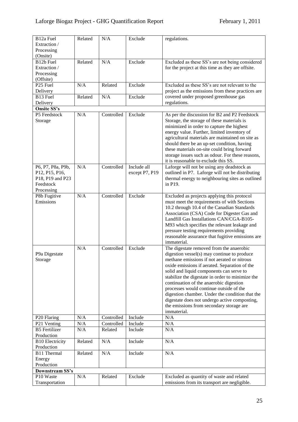| B <sub>12a</sub> Fuel<br>Extraction /<br>Processing | Related | N/A        | Exclude        | regulations.                                                                                                                                                                                                                                                                                                                                                                         |
|-----------------------------------------------------|---------|------------|----------------|--------------------------------------------------------------------------------------------------------------------------------------------------------------------------------------------------------------------------------------------------------------------------------------------------------------------------------------------------------------------------------------|
| (Onsite)                                            |         |            |                |                                                                                                                                                                                                                                                                                                                                                                                      |
| B12b Fuel                                           | Related | N/A        | Exclude        | Excluded as these SS's are not being considered                                                                                                                                                                                                                                                                                                                                      |
| Extraction /                                        |         |            |                | for the project at this time as they are offsite.                                                                                                                                                                                                                                                                                                                                    |
| Processing                                          |         |            |                |                                                                                                                                                                                                                                                                                                                                                                                      |
| (Offsite)                                           |         |            |                |                                                                                                                                                                                                                                                                                                                                                                                      |
| P <sub>25</sub> Fuel                                | N/A     | Related    | Exclude        | Excluded as these SS's are not relevant to the                                                                                                                                                                                                                                                                                                                                       |
| Delivery                                            |         |            |                | project as the emissions from these practices are                                                                                                                                                                                                                                                                                                                                    |
| B13 Fuel                                            | Related | N/A        | Exclude        | covered under proposed greenhouse gas                                                                                                                                                                                                                                                                                                                                                |
| Delivery                                            |         |            |                | regulations.                                                                                                                                                                                                                                                                                                                                                                         |
| <b>Onsite SS's</b>                                  |         |            |                |                                                                                                                                                                                                                                                                                                                                                                                      |
| P5 Feedstock                                        | N/A     | Controlled | Exclude        | As per the discussion for B2 and P2 Feedstock                                                                                                                                                                                                                                                                                                                                        |
| Storage                                             |         |            |                | Storage, the storage of these materials is<br>minimized in order to capture the highest<br>energy value. Further, limited inventory of<br>agricultural materials are maintained on site as<br>should there be an up-set condition, having<br>these materials on-site could bring forward<br>storage issues such as odour. For these reasons,<br>it is reasonable to exclude this SS. |
| P6, P7, P8a, P9b,                                   | N/A     | Controlled | Include all    | Laforge will not be using any deadstock as                                                                                                                                                                                                                                                                                                                                           |
| P12, P15, P16,                                      |         |            | except P7, P19 | outlined in P7. Laforge will not be distributing                                                                                                                                                                                                                                                                                                                                     |
| P18, P19 and P23                                    |         |            |                | thermal energy to neighbouring sites as outlined                                                                                                                                                                                                                                                                                                                                     |
| Feedstock                                           |         |            |                | in P19.                                                                                                                                                                                                                                                                                                                                                                              |
| Processing                                          |         |            |                |                                                                                                                                                                                                                                                                                                                                                                                      |
| P8b Fugitive                                        | N/A     | Controlled | Exclude        | Excluded as projects applying this protocol                                                                                                                                                                                                                                                                                                                                          |
| Emissions                                           |         |            |                | must meet the requirements of with Sections                                                                                                                                                                                                                                                                                                                                          |
|                                                     |         |            |                | 10.2 through 10.4 of the Canadian Standards                                                                                                                                                                                                                                                                                                                                          |
|                                                     |         |            |                | Association (CSA) Code for Digester Gas and<br>Landfill Gas Installations CAN/CGA-B105-                                                                                                                                                                                                                                                                                              |
|                                                     |         |            |                | M93 which specifies the relevant leakage and                                                                                                                                                                                                                                                                                                                                         |
|                                                     |         |            |                | pressure testing requirements providing                                                                                                                                                                                                                                                                                                                                              |
|                                                     |         |            |                | reasonable assurance that fugitive emissions are                                                                                                                                                                                                                                                                                                                                     |
|                                                     |         |            |                | immaterial.                                                                                                                                                                                                                                                                                                                                                                          |
|                                                     | N/A     | Controlled | Exclude        | The digestate removed from the anaerobic                                                                                                                                                                                                                                                                                                                                             |
| P9a Digestate                                       |         |            |                | digestion vessel(s) may continue to produce                                                                                                                                                                                                                                                                                                                                          |
| Storage                                             |         |            |                | methane emissions if not aerated or nitrous                                                                                                                                                                                                                                                                                                                                          |
|                                                     |         |            |                | oxide emissions if aerated. Separation of the                                                                                                                                                                                                                                                                                                                                        |
|                                                     |         |            |                | solid and liquid components can serve to                                                                                                                                                                                                                                                                                                                                             |
|                                                     |         |            |                | stabilize the digestate in order to minimize the                                                                                                                                                                                                                                                                                                                                     |
|                                                     |         |            |                | continuation of the anaerobic digestion                                                                                                                                                                                                                                                                                                                                              |
|                                                     |         |            |                | processes would continue outside of the                                                                                                                                                                                                                                                                                                                                              |
|                                                     |         |            |                | digestion chamber. Under the condition that the                                                                                                                                                                                                                                                                                                                                      |
|                                                     |         |            |                | digestate does not undergo active composting,                                                                                                                                                                                                                                                                                                                                        |
|                                                     |         |            |                | the emissions from secondary storage are                                                                                                                                                                                                                                                                                                                                             |
|                                                     |         |            |                | immaterial.                                                                                                                                                                                                                                                                                                                                                                          |
| P20 Flaring                                         | N/A     | Controlled | Include        | N/A                                                                                                                                                                                                                                                                                                                                                                                  |
| P21 Venting                                         | N/A     | Controlled | Include        | N/A                                                                                                                                                                                                                                                                                                                                                                                  |
| <b>B5</b> Fertilizer                                | N/A     | Related    | Include        | N/A                                                                                                                                                                                                                                                                                                                                                                                  |
| Production                                          |         |            |                |                                                                                                                                                                                                                                                                                                                                                                                      |
| <b>B10 Electricity</b>                              | Related | N/A        | Include        | N/A                                                                                                                                                                                                                                                                                                                                                                                  |
| Production                                          |         | N/A        |                |                                                                                                                                                                                                                                                                                                                                                                                      |
| B11 Thermal                                         | Related |            | Include        | N/A                                                                                                                                                                                                                                                                                                                                                                                  |
| Energy<br>Production                                |         |            |                |                                                                                                                                                                                                                                                                                                                                                                                      |
| Downstream SS's                                     |         |            |                |                                                                                                                                                                                                                                                                                                                                                                                      |
| P10 Waste                                           | N/A     | Related    | Exclude        | Excluded as quantity of waste and related                                                                                                                                                                                                                                                                                                                                            |
| Transportation                                      |         |            |                | emissions from its transport are negligible.                                                                                                                                                                                                                                                                                                                                         |
|                                                     |         |            |                |                                                                                                                                                                                                                                                                                                                                                                                      |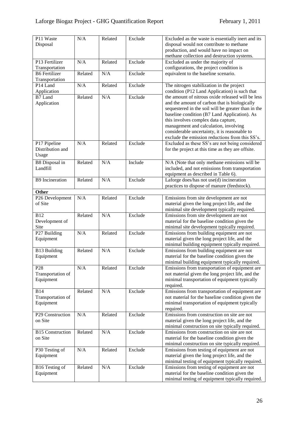| P11 Waste<br>Disposal       | N/A     | Related | Exclude | Excluded as the waste is essentially inert and its<br>disposal would not contribute to methane<br>production, and would have no impact on |
|-----------------------------|---------|---------|---------|-------------------------------------------------------------------------------------------------------------------------------------------|
| P13 Fertilizer              | N/A     | Related | Exclude | methane collection and destruction systems.<br>Excluded as under the majority of                                                          |
| Transportation              |         |         |         | configurations, the project condition is                                                                                                  |
| <b>B6</b> Fertilizer        | Related | N/A     | Exclude | equivalent to the baseline scenario.                                                                                                      |
| Transportation              |         |         |         |                                                                                                                                           |
| P14 Land                    | N/A     | Related | Exclude | The nitrogen stabilization in the project                                                                                                 |
| Application                 |         |         |         | condition (P12 Land Application) is such that                                                                                             |
| B7 Land                     | Related | N/A     | Exclude | the amount of nitrous oxide released will be less                                                                                         |
| Application                 |         |         |         | and the amount of carbon that is biologically                                                                                             |
|                             |         |         |         | sequestered in the soil will be greater than in the                                                                                       |
|                             |         |         |         | baseline condition (B7 Land Application). As                                                                                              |
|                             |         |         |         | this involves complex data capture,<br>management and calculation, involving                                                              |
|                             |         |         |         | considerable uncertainty, it is reasonable to                                                                                             |
|                             |         |         |         | exclude the emission reductions from this SS's.                                                                                           |
| P17 Pipeline                | N/A     | Related | Exclude | Excluded as these SS's are not being considered                                                                                           |
| Distribution and            |         |         |         | for the project at this time as they are offsite.                                                                                         |
| Usage                       |         |         |         |                                                                                                                                           |
| <b>B8</b> Disposal in       | Related | N/A     | Include | N/A (Note that only methane emissions will be                                                                                             |
| Landfill                    |         |         |         | included, and not emissions from transportation                                                                                           |
|                             |         |         |         | equipment as described in Table 6).                                                                                                       |
| <b>B9</b> Incineration      | Related | N/A     | Exclude | Laforge does/has not use(d) incineration                                                                                                  |
|                             |         |         |         | practices to dispose of manure (feedstock).                                                                                               |
| Other                       |         |         |         |                                                                                                                                           |
| P26 Development             | N/A     | Related | Exclude | Emissions from site development are not                                                                                                   |
| of Site                     |         |         |         | material given the long project life, and the                                                                                             |
| <b>B12</b>                  | Related | N/A     | Exclude | minimal site development typically required.                                                                                              |
| Development of              |         |         |         | Emissions from site development are not<br>material for the baseline condition given the                                                  |
| Site                        |         |         |         | minimal site development typically required.                                                                                              |
| P27 Building                | N/A     | Related | Exclude | Emissions from building equipment are not                                                                                                 |
| Equipment                   |         |         |         | material given the long project life, and the                                                                                             |
|                             |         |         |         | minimal building equipment typically required.                                                                                            |
| <b>B13 Building</b>         | Related | N/A     | Exclude | Emissions from building equipment are not                                                                                                 |
| Equipment                   |         |         |         | material for the baseline condition given the                                                                                             |
|                             |         |         |         | minimal building equipment typically required.                                                                                            |
| P <sub>28</sub>             | N/A     | Related | Exclude | Emissions from transportation of equipment are                                                                                            |
| Transportation of           |         |         |         | not material given the long project life, and the                                                                                         |
| Equipment                   |         |         |         | minimal transportation of equipment typically                                                                                             |
| <b>B14</b>                  | Related | N/A     | Exclude | required.<br>Emissions from transportation of equipment are                                                                               |
| Transportation of           |         |         |         | not material for the baseline condition given the                                                                                         |
| Equipment                   |         |         |         | minimal transportation of equipment typically                                                                                             |
|                             |         |         |         | required.                                                                                                                                 |
| P29 Construction            | N/A     | Related | Exclude | Emissions from construction on site are not                                                                                               |
| on Site                     |         |         |         | material given the long project life, and the                                                                                             |
|                             |         |         |         | minimal construction on site typically required.                                                                                          |
| <b>B15</b> Construction     | Related | N/A     | Exclude | Emissions from construction on site are not                                                                                               |
| on Site                     |         |         |         | material for the baseline condition given the                                                                                             |
|                             |         |         |         | minimal construction on site typically required.                                                                                          |
| P30 Testing of<br>Equipment | N/A     | Related | Exclude | Emissions from testing of equipment are not<br>material given the long project life, and the                                              |
|                             |         |         |         | minimal testing of equipment typically required.                                                                                          |
| B16 Testing of              | Related | N/A     | Exclude | Emissions from testing of equipment are not                                                                                               |
| Equipment                   |         |         |         | material for the baseline condition given the                                                                                             |
|                             |         |         |         | minimal testing of equipment typically required.                                                                                          |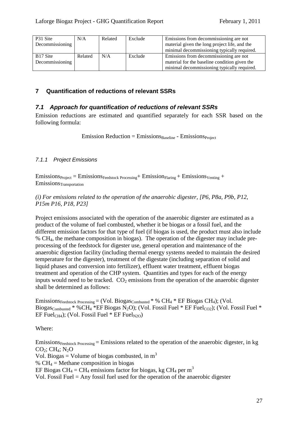| P31 Site             | N/A     | Related | Exclude | Emissions from decommissioning are not        |  |
|----------------------|---------|---------|---------|-----------------------------------------------|--|
| Decommissioning      |         |         |         | material given the long project life, and the |  |
|                      |         |         |         | minimal decommissioning typically required.   |  |
| B <sub>17</sub> Site | Related | N/A     | Exclude | Emissions from decommissioning are not        |  |
| Decommissioning      |         |         |         | material for the baseline condition given the |  |
|                      |         |         |         | minimal decommissioning typically required.   |  |

## <span id="page-26-0"></span>**7 Quantification of reductions of relevant SSRs**

### <span id="page-26-1"></span>*7.1 Approach for quantification of reductions of relevant SSRs*

Emission reductions are estimated and quantified separately for each SSR based on the following formula:

 $Emission Reduction = Emissions<sub>Baseline</sub> - Emissions<sub>Proiect</sub>$ 

#### <span id="page-26-2"></span>*7.1.1 Project Emissions*

 $Emissions_{Project} = Emissions_{Feedstock\ Processing} + Emissionr_{Flaring} + Emissions_{Venting} +$ Emissions<sub>Transportation</sub>

*(i) For emissions related to the operation of the anaerobic digester, [P6, P8a, P9b, P12, P15m P16, P18, P23]*

Project emissions associated with the operation of the anaerobic digester are estimated as a product of the volume of fuel combusted, whether it be biogas or a fossil fuel, and the different emission factors for that type of fuel (if biogas is used, the product must also include % CH4, the methane composition in biogas). The operation of the digester may include preprocessing of the feedstock for digester use, general operation and maintenance of the anaerobic digestion facility (including thermal energy systems needed to maintain the desired temperature for the digester), treatment of the digestate (including separation of solid and liquid phases and conversion into fertilizer), effluent water treatment, effluent biogas treatment and operation of the CHP system. Quantities and types for each of the energy inputs would need to be tracked.  $CO<sub>2</sub>$  emissions from the operation of the anaerobic digester shall be determined as follows:

Emissions $_{\text{Feedstock Processing}} = (Vol. Biogas_{\text{Combined}} * % CH<sub>4</sub> * EF Biogas CH<sub>4</sub>);$  (Vol. Biogas<sub>Combusted</sub> \* %CH<sub>4</sub> \*EF Biogas N<sub>2</sub>O); (Vol. Fossil Fuel \* EF Fuel<sub>CO2</sub>); (Vol. Fossil Fuel \* EF Fuel<sub>CH4</sub>); (Vol. Fossil Fuel  $*$  EF Fuel<sub>N2O</sub>)

Where:

Emissions $_{\text{Feedstock Processing}}$  = Emissions related to the operation of the anaerobic digester, in kg  $CO<sub>2</sub>$ ; CH<sub>4</sub>; N<sub>2</sub>O Vol. Biogas = Volume of biogas combusted, in  $m<sup>3</sup>$ %  $CH<sub>4</sub>$  = Methane composition in biogas EF Biogas CH<sub>4</sub> = CH<sub>4</sub> emissions factor for biogas, kg CH<sub>4</sub> per m<sup>3</sup> Vol. Fossil Fuel  $=$  Any fossil fuel used for the operation of the anaerobic digester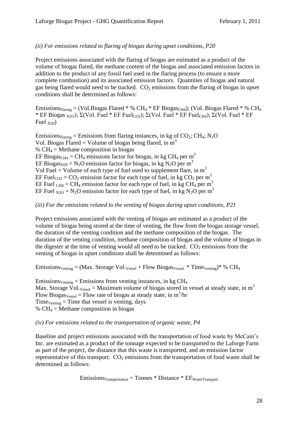#### *(ii) For emissions related to flaring of biogas during upset conditions, P20*

Project emissions associated with the flaring of biogas are estimated as a product of the volume of biogas flared, the methane content of the biogas and associated emission factors in addition to the product of any fossil fuel used in the flaring process (to ensure a more complete combustion) and its associated emission factors. Quantities of biogas and natural gas being flared would need to be tracked.  $CO<sub>2</sub>$  emissions from the flaring of biogas in upset conditions shall be determined as follows:

Emissions $_{Flaring}$  = (Vol. Biogas Flared \* % CH<sub>4</sub> \* EF Biogas<sub>CH4</sub>); (Vol. Biogas Flared \* % CH<sub>4</sub> \* EF Biogas <sub>N2O</sub>); Σ(Vol. Fuel \* EF Fuel<sub>CO2</sub>); Σ(Vol. Fuel \* EF Fuel<sub>CH4</sub>); Σ(Vol. Fuel \* EF Fuel  $N(20)$ 

Emissions $F_{\text{Haring}} =$  Emissions from flaring instances, in kg of CO<sub>2</sub>; CH<sub>4</sub>; N<sub>2</sub>O Vol. Biogas Flared = Volume of biogas being flared, in  $m<sup>3</sup>$ %  $CH<sub>4</sub>$  = Methane composition in biogas EF Biogas<sub>CH4</sub> = CH<sub>4</sub> emissions factor for biogas, in kg CH<sub>4</sub> per m<sup>3</sup> EF Biogas<sub>N20</sub> = N<sub>2</sub>O emission factor for biogas, in kg N<sub>2</sub>O per m<sup>3</sup> Vol Fuel = Volume of each type of fuel used to supplement flare, in  $m<sup>3</sup>$ EF Fuel<sub>CO2</sub> = CO<sub>2</sub> emission factor for each type of fuel, in kg CO<sub>2</sub> per m<sup>3</sup> EF Fuel  $_{CH4} = CH_4$  emission factor for each type of fuel, in kg CH<sub>4</sub> per m<sup>3</sup> EF Fuel  $_{N2O}$  = N<sub>2</sub>O emission factor for each type of fuel, in kg N<sub>2</sub>O per m<sup>3</sup>

#### *(iii) For the emissions related to the venting of biogas during upset conditions, P21*

Project emissions associated with the venting of biogas are estimated as a product of the volume of biogas being stored at the time of venting, the flow from the biogas storage vessel, the duration of the venting condition and the methane composition of the biogas. The duration of the venting condition, methane composition of biogas and the volume of biogas in the digester at the time of venting would all need to be tracked.  $CO<sub>2</sub>$  emissions from the venting of biogas in upset conditions shall be determined as follows:

Emissions<sub>Venting</sub> = (Max. Storage Vol.<sub>Vessel</sub> + Flow Biogas<sub>Vessel</sub> \* Time<sub>Venting</sub>)\* % CH<sub>4</sub>

 $Emissions<sub>Venting</sub> = Emissions from venting instances, in kg CH<sub>4</sub>$ Max. Storage  $\bar{V}$ ol.<sub>Vessel</sub> = Maximum volume of biogas stored in vessel at steady state, in m<sup>3</sup> Flow Biogas<sub>Vessel</sub> = Flow rate of biogas at steady state, in  $m^3/nr$  $Time<sub>Venting</sub> = Time that vessel is venting, days$ %  $CH_4$  = Methane composition in biogas

#### *(iv) For emissions related to the transportation of organic waste, P4*

Baseline and project emissions associated with the transportation of food waste by McCain's Inc. are estimated as a product of the tonnage expected to be transported to the Laforge Farm as part of the project, the distance that this waste is transported, and an emission factor representative of this transport.  $CO<sub>2</sub>$  emissions from the transportation of food waste shall be determined as follows:

 $E$ missions $_{\text{Transformation}}$  = Tonnes \* Distance \*  $EF_{\text{Waste Transport}}$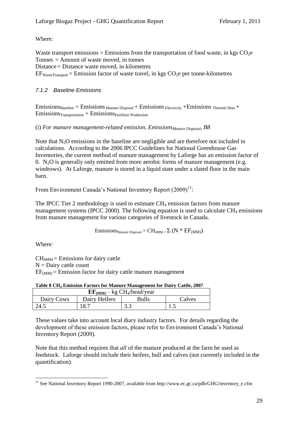Where:

Waste transport emissions = Emissions from the transportation of food waste, in kgs  $CO<sub>2</sub>e$ Tonnes = Amount of waste moved, in tonnes Distance = Distance waste moved, in kilometres  $EF_{WasteTransport} = Emission factor of waste travel, in kgs CO<sub>2</sub>e per tonne-kilometres$ 

#### <span id="page-28-0"></span>*7.1.2 Baseline Emissions*

 $Emissions_{Baseline} = Emissions_{Manure\,Disposal} + Emissions_{Electricity} + Emissions_{Thermal\,Heat} +$  $Emissions_{Transformation} + Emissions_{Fertilizer}$  Production

(i) *For manure management-related emission, EmissionsManure Disposal, B8*

Note that  $N_2O$  emissions in the baseline are negligible and are therefore not included in calculations. According to the 2006 IPCC Guidelines for National Greenhouse Gas Inventories, the current method of manure management by Laforge has an emission factor of 0. N<sub>2</sub>O is generally only emitted from more aerobic forms of manure management (e.g. windrows). At Laforge, manure is stored in a liquid state under a slated floor in the main barn.

From Environment Canada's National Inventory Report  $(2009)^{11}$ :

The IPCC Tier 2 methodology is used to estimate  $CH_4$  emission factors from manure management systems (IPCC 2000). The following equation is used to calculate  $CH_4$  emissions from manure management for various categories of livestock in Canada.

Emissions  $M_{\text{anure Disposal}} = CH_{\text{4MM} =} \sum (N * EF_{(MM)})$ 

Where:

 $CH<sub>4MM</sub> = E<sub>missions</sub>$  for dairy cattle  $N =$ Dairy cattle count  $EF_{(MM)} =$  Emission factor for dairy cattle manure management

**Table 8 CH<sup>4</sup> Emission Factors for Manure Management for Dairy Cattle, 2007**

| $EF_{(MM)}$ – kg CH <sub>4</sub> /head/year |               |              |        |  |  |  |  |
|---------------------------------------------|---------------|--------------|--------|--|--|--|--|
| Dairy Cows                                  | Dairy Heifers | <b>Bulls</b> | Calves |  |  |  |  |
| 24.5                                        | 18.7          | 3.3          | ن ر    |  |  |  |  |

These values take into account local diary industry factors. For details regarding the development of these emission factors, please refer to Environment Canada's National Inventory Report (2009).

Note that this method requires that *all* of the manure produced at the farm be used as feedstock. Laforge should include their heifers, bull and calves (not currently included in the quantification).

<sup>1</sup> <sup>11</sup> See National Inventory Report 1990-2007, available from http://www.ec.gc.ca/pdb/GHG/inventory\_e.cfm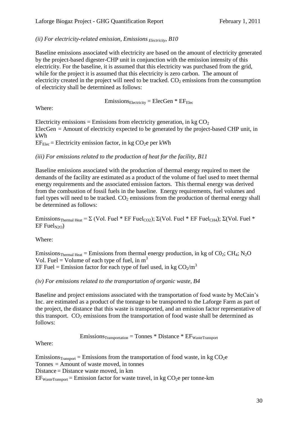*(ii) For electricity-related emission, Emissions Electricity, B10*

Baseline emissions associated with electricity are based on the amount of electricity generated by the project-based digester-CHP unit in conjunction with the emission intensity of this electricity. For the baseline, it is assumed that this electricity was purchased from the grid, while for the project it is assumed that this electricity is zero carbon. The amount of electricity created in the project will need to be tracked.  $CO<sub>2</sub>$  emissions from the consumption of electricity shall be determined as follows:

 $Emissions<sub>Electricity</sub> = Electricity + EF<sub>Elec</sub>$ 

Where:

Electricity emissions = Emissions from electricity generation, in kg  $CO<sub>2</sub>$ ElecGen = Amount of electricity expected to be generated by the project-based CHP unit, in kWh

 $EF_{Elec}$  = Electricity emission factor, in kg CO<sub>2</sub>e per kWh

*(iii) For emissions related to the production of heat for the facility, B11*

Baseline emissions associated with the production of thermal energy required to meet the demands of the facility are estimated as a product of the volume of fuel used to meet thermal energy requirements and the associated emission factors. This thermal energy was derived from the combustion of fossil fuels in the baseline. Energy requirements, fuel volumes and fuel types will need to be tracked.  $CO<sub>2</sub>$  emissions from the production of thermal energy shall be determined as follows:

Emissions<sub>Thermal Heat</sub> =  $\Sigma$  (Vol. Fuel \* EF Fuel<sub>CO2</sub>);  $\Sigma$ (Vol. Fuel \* EF Fuel<sub>CH4</sub>);  $\Sigma$ (Vol. Fuel \*  $EF$  Fuel<sub>N2O</sub>)

Where:

Emissions<sub>Thermal Heat</sub> = Emissions from thermal energy production, in kg of  $CO_2$ ; CH<sub>4</sub>; N<sub>2</sub>O Vol. Fuel = Volume of each type of fuel, in  $m<sup>3</sup>$ EF Fuel = Emission factor for each type of fuel used, in kg  $CO<sub>2</sub>/m<sup>3</sup>$ 

### *(iv) For emissions related to the transportation of organic waste, B4*

Baseline and project emissions associated with the transportation of food waste by McCain's Inc. are estimated as a product of the tonnage to be transported to the Laforge Farm as part of the project, the distance that this waste is transported, and an emission factor representative of this transport.  $CO<sub>2</sub>$  emissions from the transportation of food waste shall be determined as follows:

 $E$ missions $T_{\text{transportation}}$  = Tonnes \* Distance \*  $EF_{\text{WasteTransport}}$ 

Where:

Emissions<sub>Transport</sub> = Emissions from the transportation of food waste, in kg  $CO<sub>2</sub>e$ Tonnes = Amount of waste moved, in tonnes Distance = Distance waste moved, in km  $EF_{WasteTransport} = Emission factor for waste travel, in kg CO<sub>2</sub>e per tonne-km$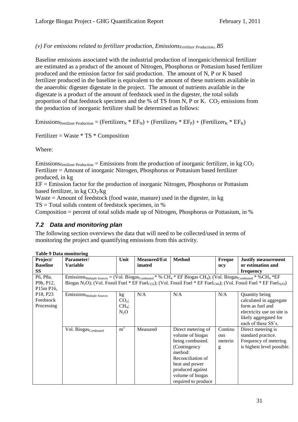#### *(v) For emissions related to fertilizer production, EmissionsFertilizer Production, B5*

Baseline emissions associated with the industrial production of inorganic/chemical fertilizer are estimated as a product of the amount of Nitrogen, Phosphorus or Pottasium based fertilizer produced and the emission factor for said production. The amount of N, P or K based fertilizer produced in the baseline is equivalent to the amount of these nutrients available in the anaerobic digester digestate in the project. The amount of nutrients available in the digestate is a product of the amount of feedstock used in the digester, the total solids proportion of that feedstock specimen and the % of TS from N, P or K.  $CO<sub>2</sub>$  emissions from the production of inorganic fertilizer shall be determined as follows:

Emissions<sub>Fertilizer Production</sub> = (Fertilizer<sub>N</sub> \* EF<sub>N</sub>) + (Fertilizer<sub>P</sub> \* EF<sub>P</sub>) + (Fertilizer<sub>K</sub> \* EF<sub>K</sub>)

Fertilizer = Waste  $*$  TS  $*$  Composition

Where:

Emissions<sub>Fertilizer Production</sub> = Emissions from the production of inorganic fertilizer, in kg  $CO<sub>2</sub>$ Fertilizer = Amount of inorganic Nitrogen, Phosphorus or Pottasium based fertilizer produced, in kg

 $EF = E$ mission factor for the production of inorganic Nitrogen, Phosphorus or Pottasium based fertilizer, in kg  $CO_2/kg$ 

Waste  $=$  Amount of feedstock (food waste, manure) used in the digester, in kg  $TS = Total$  solids content of feedstock specimen, in %

Composition = percent of total solids made up of Nitrogen, Phosphorus or Pottasium, in %

### <span id="page-30-0"></span>*7.2 Data and monitoring plan*

The following section overviews the data that will need to be collected/used in terms of monitoring the project and quantifying emissions from this activity.

| Project/                          | Parameter/                                                                                                                                                         | Unit           | <b>Measured/Est</b> | <b>Method</b>       | Freque  | <b>Justify measurement</b> |
|-----------------------------------|--------------------------------------------------------------------------------------------------------------------------------------------------------------------|----------------|---------------------|---------------------|---------|----------------------------|
| <b>Baseline</b>                   | <b>Variable</b>                                                                                                                                                    |                | imated              |                     | ncy     | or estimation and          |
| SS                                |                                                                                                                                                                    |                |                     |                     |         | frequency                  |
| P6, P8a,                          | Emissions Multiple Sources = (Vol. Biogas Combusted * % CH <sub>4</sub> * EF Biogas CH <sub>4</sub> ); (Vol. Biogas Combusted * % CH <sub>4</sub> * EF             |                |                     |                     |         |                            |
| P9b, P12,                         | Biogas N <sub>2</sub> O); (Vol. Fossil Fuel * EF Fuel <sub>CO2</sub> ); (Vol. Fossil Fuel * EF Fuel <sub>CH4</sub> ); (Vol. Fossil Fuel * EF Fuel <sub>N2O</sub> ) |                |                     |                     |         |                            |
| P15m P16,                         |                                                                                                                                                                    |                |                     |                     |         |                            |
| P <sub>18</sub> , P <sub>23</sub> | EmissionSMultiple Sources                                                                                                                                          | kg             | N/A                 | N/A                 | N/A     | Quantity being             |
| Feedstock                         |                                                                                                                                                                    | $CO2$ ;        |                     |                     |         | calculated in aggregate    |
| Processing                        |                                                                                                                                                                    | $CH_4$ ;       |                     |                     |         | form as fuel and           |
|                                   |                                                                                                                                                                    | $N_2O$         |                     |                     |         | electricity use on site is |
|                                   |                                                                                                                                                                    |                |                     |                     |         | likely aggregated for      |
|                                   |                                                                                                                                                                    |                |                     |                     |         | each of these SS's.        |
|                                   | Vol. Biogas <sub>Combusted</sub>                                                                                                                                   | m <sup>3</sup> | Measured            | Direct metering of  | Continu | Direct metering is         |
|                                   |                                                                                                                                                                    |                |                     | volume of biogas    | ous     | standard practice.         |
|                                   |                                                                                                                                                                    |                |                     | being combusted.    | meterin | Frequency of metering      |
|                                   |                                                                                                                                                                    |                |                     | (Contingency        | g       | is highest level possible. |
|                                   |                                                                                                                                                                    |                |                     | method:             |         |                            |
|                                   |                                                                                                                                                                    |                |                     | Reconciliation of   |         |                            |
|                                   |                                                                                                                                                                    |                |                     | heat and power      |         |                            |
|                                   |                                                                                                                                                                    |                |                     | produced against    |         |                            |
|                                   |                                                                                                                                                                    |                |                     | volume of biogas    |         |                            |
|                                   |                                                                                                                                                                    |                |                     | required to produce |         |                            |

#### **Table 9 Data monitoring**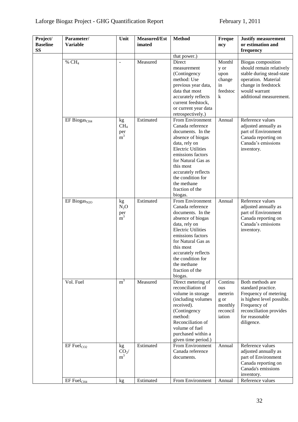| Project/<br><b>Baseline</b><br><b>SS</b> | Parameter/<br><b>Variable</b> | Unit               | <b>Measured/Est</b><br>imated | <b>Method</b>                            | Freque<br>ncy   | <b>Justify measurement</b><br>or estimation and<br>frequency |
|------------------------------------------|-------------------------------|--------------------|-------------------------------|------------------------------------------|-----------------|--------------------------------------------------------------|
|                                          |                               |                    |                               | that power.)                             |                 |                                                              |
|                                          | % $CH4$                       | L.                 | Measured                      | Direct                                   | Monthl          | Biogas composition                                           |
|                                          |                               |                    |                               | measurement                              | y or            | should remain relatively                                     |
|                                          |                               |                    |                               | (Contingency                             | upon            | stable during stead-state                                    |
|                                          |                               |                    |                               | method: Use                              | change          | operation. Material                                          |
|                                          |                               |                    |                               | previous year data,                      | in              | change in feedstock                                          |
|                                          |                               |                    |                               | data that most                           | feedstoc        | would warrant                                                |
|                                          |                               |                    |                               | accurately reflects                      | k               | additional measurement.                                      |
|                                          |                               |                    |                               | current feedstock,                       |                 |                                                              |
|                                          |                               |                    |                               | or current year data                     |                 |                                                              |
|                                          |                               |                    |                               | retrospectively.)                        |                 |                                                              |
|                                          | EF Biogas <sub>CH4</sub>      | kg                 | Estimated                     | From Environment                         | Annual          | Reference values                                             |
|                                          |                               | CH <sub>4</sub>    |                               | Canada reference                         |                 | adjusted annually as                                         |
|                                          |                               | $per^{\text{per}}$ |                               | documents. In the                        |                 | part of Environment                                          |
|                                          |                               |                    |                               | absence of biogas                        |                 | Canada reporting on                                          |
|                                          |                               |                    |                               | data, rely on                            |                 | Canada's emissions                                           |
|                                          |                               |                    |                               | <b>Electric Utilities</b>                |                 | inventory.                                                   |
|                                          |                               |                    |                               | emissions factors                        |                 |                                                              |
|                                          |                               |                    |                               | for Natural Gas as                       |                 |                                                              |
|                                          |                               |                    |                               | this most                                |                 |                                                              |
|                                          |                               |                    |                               | accurately reflects<br>the condition for |                 |                                                              |
|                                          |                               |                    |                               | the methane                              |                 |                                                              |
|                                          |                               |                    |                               | fraction of the                          |                 |                                                              |
|                                          |                               |                    |                               | biogas.                                  |                 |                                                              |
|                                          | EF BiogasN20                  | kg                 | Estimated                     | From Environment                         | Annual          | Reference values                                             |
|                                          |                               | $N_2O$             |                               | Canada reference                         |                 | adjusted annually as                                         |
|                                          |                               |                    |                               | documents. In the                        |                 | part of Environment                                          |
|                                          |                               | $per^{\text{per}}$ |                               | absence of biogas                        |                 | Canada reporting on                                          |
|                                          |                               |                    |                               | data, rely on                            |                 | Canada's emissions                                           |
|                                          |                               |                    |                               | <b>Electric Utilities</b>                |                 | inventory.                                                   |
|                                          |                               |                    |                               | emissions factors                        |                 |                                                              |
|                                          |                               |                    |                               | for Natural Gas as                       |                 |                                                              |
|                                          |                               |                    |                               | this most                                |                 |                                                              |
|                                          |                               |                    |                               | accurately reflects                      |                 |                                                              |
|                                          |                               |                    |                               | the condition for                        |                 |                                                              |
|                                          |                               |                    |                               | the methane                              |                 |                                                              |
|                                          |                               |                    |                               | fraction of the                          |                 |                                                              |
|                                          |                               |                    |                               | biogas.                                  |                 |                                                              |
|                                          | Vol. Fuel                     | m <sup>3</sup>     | Measured                      | Direct metering of                       | Continu         | Both methods are                                             |
|                                          |                               |                    |                               | reconciliation of                        | ous             | standard practice.                                           |
|                                          |                               |                    |                               | volume in storage                        | meterin         | Frequency of metering                                        |
|                                          |                               |                    |                               | (including volumes<br>received).         | g or<br>monthly | is highest level possible.<br>Frequency of                   |
|                                          |                               |                    |                               | (Contingency                             | reconcil        | reconciliation provides                                      |
|                                          |                               |                    |                               | method:                                  | iation          | for reasonable                                               |
|                                          |                               |                    |                               | Reconciliation of                        |                 | diligence.                                                   |
|                                          |                               |                    |                               | volume of fuel                           |                 |                                                              |
|                                          |                               |                    |                               | purchased within a                       |                 |                                                              |
|                                          |                               |                    |                               | given time period.)                      |                 |                                                              |
|                                          | $EF$ Fuel $_{CO2}$            | kg                 | Estimated                     | From Environment                         | Annual          | Reference values                                             |
|                                          |                               | CO <sub>2</sub>    |                               | Canada reference                         |                 | adjusted annually as                                         |
|                                          |                               | m <sup>3</sup>     |                               | documents.                               |                 | part of Environment                                          |
|                                          |                               |                    |                               |                                          |                 | Canada reporting on                                          |
|                                          |                               |                    |                               |                                          |                 | Canada's emissions                                           |
|                                          |                               |                    |                               |                                          |                 | inventory.                                                   |
|                                          | $EF$ Fuel $_{CH4}$            | kg <sub>2</sub>    | Estimated                     | From Environment                         | Annual          | Reference values                                             |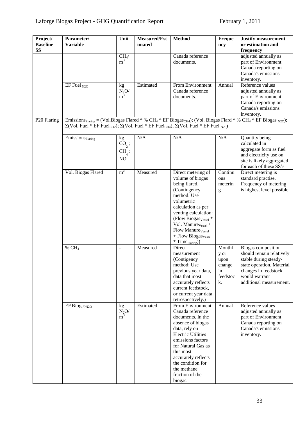| Project/<br><b>Baseline</b><br><b>SS</b> | Parameter/<br><b>Variable</b>                                                                                                                                                                                                                                                                                           | Unit                                                           | Measured/Est<br>imated | <b>Method</b>                                                                                                                                                                                                                                                                                                                   | Freque<br>ncy                                            | <b>Justify measurement</b><br>or estimation and<br>frequency                                                                                                             |
|------------------------------------------|-------------------------------------------------------------------------------------------------------------------------------------------------------------------------------------------------------------------------------------------------------------------------------------------------------------------------|----------------------------------------------------------------|------------------------|---------------------------------------------------------------------------------------------------------------------------------------------------------------------------------------------------------------------------------------------------------------------------------------------------------------------------------|----------------------------------------------------------|--------------------------------------------------------------------------------------------------------------------------------------------------------------------------|
|                                          |                                                                                                                                                                                                                                                                                                                         | $\text{CH}_4\!/$<br>m <sup>3</sup>                             |                        | Canada reference<br>documents.                                                                                                                                                                                                                                                                                                  |                                                          | adjusted annually as<br>part of Environment<br>Canada reporting on<br>Canada's emissions<br>inventory.                                                                   |
|                                          | EF Fuel $_{N2O}$                                                                                                                                                                                                                                                                                                        | kg<br>$\frac{N_2O}{m^3}$                                       | Estimated              | From Environment<br>Canada reference<br>documents.                                                                                                                                                                                                                                                                              | Annual                                                   | Reference values<br>adjusted annually as<br>part of Environment<br>Canada reporting on<br>Canada's emissions<br>inventory.                                               |
| P20 Flaring                              | Emissions <sub>Flaring</sub> = (Vol.Biogas Flared * % CH <sub>4</sub> * EF Biogas <sub>CH4</sub> ); (Vol. Biogas Flard * % CH <sub>4</sub> * EF Biogas <sub>N2O</sub> );<br>$\Sigma(Vol.$ Fuel * EF Fuel <sub>CO2</sub> ); $\Sigma(Vol.$ Fuel * EF Fuel <sub>CH4</sub> ); $\Sigma(Vol.$ Fuel * EF Fuel <sub>N20</sub> ) |                                                                |                        |                                                                                                                                                                                                                                                                                                                                 |                                                          |                                                                                                                                                                          |
|                                          | $E$ missions $_{Flaring}$                                                                                                                                                                                                                                                                                               | kg<br>$\mathrm{CO}_2$ ;<br>CH <sub>4</sub> ;<br>N <sub>O</sub> | N/A                    | N/A                                                                                                                                                                                                                                                                                                                             | N/A                                                      | Quantity being<br>calculated in<br>aggregate form as fuel<br>and electricity use on<br>site is likely aggregated<br>for each of these SS's.                              |
|                                          | Vol. Biogas Flared                                                                                                                                                                                                                                                                                                      | m <sup>3</sup>                                                 | Measured               | Direct metering of<br>volume of biogas<br>being flared.<br>(Contingency<br>method: Use<br>volumetric<br>calculation as per<br>venting calculation:<br>(Flow Biogas <sub>Vessel</sub> *<br>Vol. Manure <sub>Vessel</sub> /<br>Flow Manure <sub>Vessel</sub><br>+ Flow Biogas <sub>Vessel</sub><br>$*$ Time $_{\text{Flaring}}$ ) | Continu<br>ous<br>meterin<br>g                           | Direct metering is<br>standard practise.<br>Frequency of metering<br>is highest level possible.                                                                          |
|                                          | % $CH4$                                                                                                                                                                                                                                                                                                                 | $\overline{\phantom{0}}$                                       | Measured               | Direct<br>measurement<br>(Contigency)<br>method: Use<br>previous year data,<br>data that most<br>accurately reflects<br>current feedstock,<br>or current year data<br>retrospectively.)                                                                                                                                         | Monthl<br>y or<br>upon<br>change<br>in<br>feedstoc<br>k. | Biogas composition<br>should remain relatively<br>stable during steady-<br>state operation. Material<br>changes in feedstock<br>would warrant<br>additional measurement. |
|                                          | EF Biogas <sub>N2O</sub>                                                                                                                                                                                                                                                                                                | kg<br>$\frac{N_2O}{m^3}$                                       | Estimated              | From Environment<br>Canada reference<br>documents. In the<br>absence of biogas<br>data, rely on<br><b>Electric Utilities</b><br>emissions factors<br>for Natural Gas as<br>this most<br>accurately reflects<br>the condition for<br>the methane<br>fraction of the<br>biogas.                                                   | Annual                                                   | Reference values<br>adjusted annually as<br>part of Environment<br>Canada reporting on<br>Canada's emissions<br>inventory.                                               |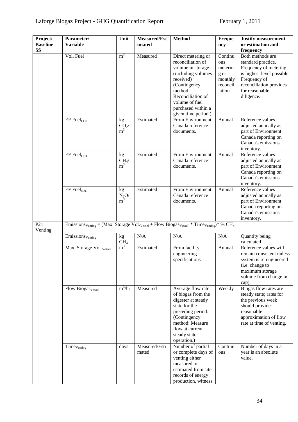| Project/                   | Parameter/                                                                                                                                         | Unit                                    | Measured/Est           | <b>Method</b>                                                                                                                                                                            | Freque                                | <b>Justify measurement</b>                                                                                                                                 |
|----------------------------|----------------------------------------------------------------------------------------------------------------------------------------------------|-----------------------------------------|------------------------|------------------------------------------------------------------------------------------------------------------------------------------------------------------------------------------|---------------------------------------|------------------------------------------------------------------------------------------------------------------------------------------------------------|
| <b>Baseline</b>            | <b>Variable</b>                                                                                                                                    |                                         | imated                 |                                                                                                                                                                                          | ncy                                   | or estimation and                                                                                                                                          |
| <b>SS</b>                  |                                                                                                                                                    |                                         |                        |                                                                                                                                                                                          |                                       | frequency                                                                                                                                                  |
|                            | Vol. Fuel                                                                                                                                          | m <sup>3</sup>                          | Measured               | Direct metering or<br>reconciliation of<br>volume in storage                                                                                                                             | Continu<br>ous<br>meterin             | Both methods are<br>standard practice.<br>Frequency of metering                                                                                            |
|                            |                                                                                                                                                    |                                         |                        | (including volumes<br>received)<br>(Contingency<br>method:<br>Reconciliation of                                                                                                          | g or<br>monthly<br>reconcil<br>iation | is highest level possible.<br>Frequency of<br>reconciliation provides<br>for reasonable<br>diligence.                                                      |
|                            |                                                                                                                                                    |                                         |                        | volume of fuel<br>purchased within a<br>given time period.)                                                                                                                              |                                       |                                                                                                                                                            |
|                            | $EF$ Fuel $_{CO2}$                                                                                                                                 | kg<br>$\mathop{{\rm CO}}_2\!/\!$ m $^3$ | Estimated              | From Environment<br>Canada reference<br>documents.                                                                                                                                       | Annual                                | Reference values<br>adjusted annually as<br>part of Environment<br>Canada reporting on<br>Canada's emissions<br>inventory.                                 |
|                            | $EF$ Fuel $_{CH4}$                                                                                                                                 | kg<br>$CH_4/$<br>m <sup>3</sup>         | Estimated              | From Environment<br>Canada reference<br>documents.                                                                                                                                       | Annual                                | Reference values<br>adjusted annually as<br>part of Environment<br>Canada reporting on<br>Canada's emissions<br>inventory.                                 |
|                            | $EF$ Fuel <sub>N2O</sub>                                                                                                                           | kg<br>$\frac{N_2O}{m^3}$                | Estimated              | From Environment<br>Canada reference<br>documents.                                                                                                                                       | Annual                                | Reference values<br>adjusted annually as<br>part of Environment<br>Canada reporting on<br>Canada's emissions<br>inventory.                                 |
| P <sub>21</sub><br>Venting | Emissions <sub>Venting</sub> = (Max. Storage Vol. <sub>Vessel</sub> + Flow Biogas <sub>Vessel</sub> * Time <sub>Venting</sub> )* % CH <sub>4</sub> |                                         |                        |                                                                                                                                                                                          |                                       |                                                                                                                                                            |
|                            | Emissions <sub>Venting</sub>                                                                                                                       | kg<br>CH <sub>4</sub>                   | N/A                    | N/A                                                                                                                                                                                      | N/A                                   | Quantity being<br>calculated                                                                                                                               |
|                            | Max. Storage Vol. Vessel                                                                                                                           | m <sup>3</sup>                          | Estimated              | From facility<br>engineering<br>specifications                                                                                                                                           | Annual                                | Reference values will<br>remain consistent unless<br>system is re-engineered<br>(i.e. change to<br>maximum storage<br>volume from change in<br>cap).       |
|                            | Flow Biogas <sub>Vessel</sub>                                                                                                                      | $m^3/hr$                                | Measured               | Average flow rate<br>of biogas from the<br>digester at steady<br>state for the<br>preceding period.<br>(Contingency<br>method: Measure<br>flow at current<br>steady state<br>operation.) | Weekly                                | Biogas flow rates are<br>steady state; rates for<br>the previous week<br>should provide<br>reasonable<br>approximation of flow<br>rate at time of venting. |
|                            | Time <sub>Venting</sub>                                                                                                                            | days                                    | Measured/Esti<br>mated | Number of partial<br>or complete days of<br>venting either<br>measured or<br>estimated from site<br>records of energy<br>production, witness                                             | Continu<br>ous                        | Number of days in a<br>year is an absolute<br>value.                                                                                                       |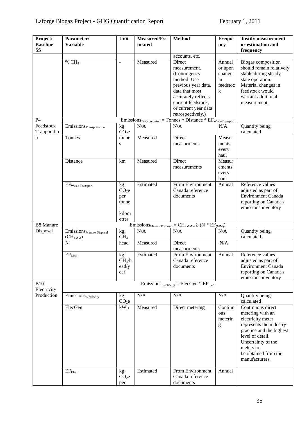| Project/<br><b>Baseline</b><br><b>SS</b> | Parameter/<br><b>Variable</b>                                                 | Unit                                                      | Measured/Est<br>imated | <b>Method</b>                                                                                                                   | Freque<br>ncy                     | <b>Justify measurement</b><br>or estimation and<br>frequency                                                                                                                                                       |  |  |
|------------------------------------------|-------------------------------------------------------------------------------|-----------------------------------------------------------|------------------------|---------------------------------------------------------------------------------------------------------------------------------|-----------------------------------|--------------------------------------------------------------------------------------------------------------------------------------------------------------------------------------------------------------------|--|--|
|                                          |                                                                               |                                                           |                        | accounts, etc.                                                                                                                  |                                   |                                                                                                                                                                                                                    |  |  |
|                                          | % $CH4$                                                                       | $\overline{\phantom{a}}$                                  | Measured               | Direct<br>measurement.<br>(Contingency<br>method: Use                                                                           | Annual<br>or upon<br>change<br>in | Biogas composition<br>should remain relatively<br>stable during steady-<br>state operation.                                                                                                                        |  |  |
|                                          |                                                                               |                                                           |                        | previous year data,<br>data that most<br>accurately reflects<br>current feedstock,<br>or current year data<br>retrospectively.) | feedstoc<br>k                     | Material changes in<br>feedstock would<br>warrant additional<br>measurement.                                                                                                                                       |  |  |
| P4                                       |                                                                               |                                                           |                        | $Emissions_{Transportation} = Tomnes * Distance * EF_{WasteTransport}$                                                          |                                   |                                                                                                                                                                                                                    |  |  |
| Feedstock<br>Tranporatio                 | $\overline{\mathrm{E}}$ missions $_{\mathrm{Transportion}}$                   | kg<br>CO <sub>2</sub> e                                   | N/A                    | N/A                                                                                                                             | N/A                               | Quantity being<br>calculated                                                                                                                                                                                       |  |  |
| n                                        | Tonnes                                                                        | tonne<br>${\bf S}$                                        | Measured               | Direct<br>measurments                                                                                                           | Measur<br>ments<br>every<br>haul  |                                                                                                                                                                                                                    |  |  |
|                                          | Distance                                                                      | km                                                        | Measured               | Direct<br>measurements                                                                                                          | Measur<br>ements<br>every<br>haul |                                                                                                                                                                                                                    |  |  |
|                                          | $EF_{\text{Waste Transport}}$                                                 | kg<br>CO <sub>2</sub> e<br>per<br>tonne<br>kilom<br>etres | Estimated              | From Environment<br>Canada reference<br>documents                                                                               | Annual                            | Reference values<br>adjusted as part of<br><b>Environment Canada</b><br>reporting on Canada's<br>emissions inventory                                                                                               |  |  |
| <b>B8 Manure</b>                         | $= CH_{4MM} = \Sigma (N * EF_{(MM)})$<br>Emission <sub>SManure</sub> Disposal |                                                           |                        |                                                                                                                                 |                                   |                                                                                                                                                                                                                    |  |  |
| Disposal                                 | Emissions <sub>Manure</sub> Disposal<br>$(CH_{4MM})$                          | kg<br>CH <sub>4</sub>                                     | N/A                    | N/A                                                                                                                             | N/A                               | Quantity being<br>calculated.                                                                                                                                                                                      |  |  |
|                                          | $\mathbf N$                                                                   | head                                                      | Measured               | Direct<br>measurments                                                                                                           | N/A                               |                                                                                                                                                                                                                    |  |  |
|                                          | $EF_{MM}$                                                                     | kg<br>CH <sub>4</sub> /h<br>ead/y<br>ear                  | Estimated              | From Environment<br>Canada reference<br>documents                                                                               | Annual                            | Reference values<br>adjusted as part of<br><b>Environment Canada</b><br>reporting on Canada's<br>emissions inventory                                                                                               |  |  |
| <b>B10</b><br>Electricity                | $E$ missions <sub>Electricity</sub> = ElecGen * $EF_{Elec}$                   |                                                           |                        |                                                                                                                                 |                                   |                                                                                                                                                                                                                    |  |  |
| Production                               | Emissions <sub>Electricity</sub>                                              | kg<br>CO <sub>2</sub> e                                   | N/A                    | N/A                                                                                                                             | N/A                               | Quantity being<br>calculated                                                                                                                                                                                       |  |  |
|                                          | ElecGen                                                                       | kWh                                                       | Measured               | Direct metering                                                                                                                 | Continu<br>ous<br>meterin<br>g    | Continuous direct<br>metering with an<br>electricity meter<br>represents the industry<br>practice and the highest<br>level of detail.<br>Uncertainty of the<br>meters to<br>be obtained from the<br>manufacturers. |  |  |
|                                          | $EF_{Elec}$                                                                   | kg<br>CO <sub>2</sub> e<br>per                            | Estimated              | From Environment<br>Canada reference<br>documents                                                                               | Annual                            |                                                                                                                                                                                                                    |  |  |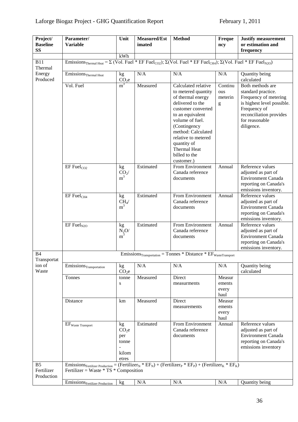# Laforge Biogaz Project - GHG Quantification Report February 1, 2011

| Project/<br><b>Baseline</b><br><b>SS</b>   | Parameter/<br><b>Variable</b>                                                                                                                                                                                             | Unit                                                      | <b>Measured/Est</b><br>imated | <b>Method</b>                                                                                                                                                                                                                                       | <b>Freque</b><br>ncy              | <b>Justify measurement</b><br>or estimation and<br>frequency                                                                                                             |  |  |  |
|--------------------------------------------|---------------------------------------------------------------------------------------------------------------------------------------------------------------------------------------------------------------------------|-----------------------------------------------------------|-------------------------------|-----------------------------------------------------------------------------------------------------------------------------------------------------------------------------------------------------------------------------------------------------|-----------------------------------|--------------------------------------------------------------------------------------------------------------------------------------------------------------------------|--|--|--|
|                                            |                                                                                                                                                                                                                           | kWh                                                       |                               |                                                                                                                                                                                                                                                     |                                   |                                                                                                                                                                          |  |  |  |
| <b>B11</b><br>Thermal                      | Emissions <sub>Thermal Heat</sub> = $\Sigma$ (Vol. Fuel * EF Fuel <sub>CO2</sub> ); $\Sigma$ (Vol. Fuel * EF Fuel <sub>CH4</sub> ); $\Sigma$ (Vol. Fuel * EF Fuel <sub>N2O</sub> )                                        |                                                           |                               |                                                                                                                                                                                                                                                     |                                   |                                                                                                                                                                          |  |  |  |
| Energy<br>Produced                         | $Emissions_{Thermal\ Heat}$                                                                                                                                                                                               | kg<br>CO <sub>2</sub> e                                   | $\rm N/A$                     | N/A                                                                                                                                                                                                                                                 | $\overline{N}/A$                  | Quantity being<br>calculated                                                                                                                                             |  |  |  |
|                                            | Vol. Fuel                                                                                                                                                                                                                 | m <sup>3</sup>                                            | Measured                      | Calculated relative<br>to metered quantity<br>of thermal energy<br>delivered to the<br>customer converted<br>to an equivalent<br>volume of fuel.<br>(Contingency<br>method: Calculated<br>relative to metered<br>quantity of<br><b>Thermal Heat</b> | Continu<br>ous<br>meterin<br>g    | Both methods are<br>standard practice.<br>Frequency of metering<br>is highest level possible.<br>Frequency of<br>reconciliation provides<br>for reasonable<br>diligence. |  |  |  |
|                                            |                                                                                                                                                                                                                           |                                                           |                               | billed to the<br>customer.)                                                                                                                                                                                                                         |                                   |                                                                                                                                                                          |  |  |  |
|                                            | $EF$ Fuel $_{CO2}$                                                                                                                                                                                                        | kg<br>$\mathop{{\rm CO}}_2\!/\!{}_{m^3}$                  | Estimated                     | From Environment<br>Canada reference<br>documents                                                                                                                                                                                                   | Annual                            | Reference values<br>adjusted as part of<br><b>Environment Canada</b><br>reporting on Canada's<br>emissions inventory.                                                    |  |  |  |
|                                            | EF Fuel <sub>CH4</sub>                                                                                                                                                                                                    | kg<br>$\text{CH}_4\!/$<br>m <sup>3</sup>                  | Estimated                     | From Environment<br>Canada reference<br>documents                                                                                                                                                                                                   | Annual                            | Reference values<br>adjusted as part of<br><b>Environment Canada</b><br>reporting on Canada's<br>emissions inventory.                                                    |  |  |  |
|                                            | $EF$ Fuel <sub>N2O</sub>                                                                                                                                                                                                  | kg<br>$\frac{N_2O}{m^3}$                                  | Estimated                     | From Environment<br>Canada reference<br>documents                                                                                                                                                                                                   | Annual                            | Reference values<br>adjusted as part of<br><b>Environment Canada</b><br>reporting on Canada's<br>emissions inventory.                                                    |  |  |  |
| <b>B</b> 4<br>Transportat                  |                                                                                                                                                                                                                           |                                                           |                               | $Emissions_{Transportation}$ = Tonnes * Distance * $EF_{WasteTransport}$                                                                                                                                                                            |                                   |                                                                                                                                                                          |  |  |  |
| ion of<br>Waste                            | $Emissions_{Transportation}$                                                                                                                                                                                              | kg<br>CO <sub>2</sub> e                                   | N/A                           | N/A                                                                                                                                                                                                                                                 | N/A                               | Quantity being<br>calculated                                                                                                                                             |  |  |  |
|                                            | Tonnes                                                                                                                                                                                                                    | tonne<br>$\bf S$                                          | Measured                      | Direct<br>measurments                                                                                                                                                                                                                               | Measur<br>ements<br>every<br>haul |                                                                                                                                                                          |  |  |  |
|                                            | Distance                                                                                                                                                                                                                  | km                                                        | Measured                      | Direct<br>measurements                                                                                                                                                                                                                              | Measur<br>ements<br>every<br>haul |                                                                                                                                                                          |  |  |  |
|                                            | $EF_{\text{Waste Transport}}$                                                                                                                                                                                             | kg<br>CO <sub>2</sub> e<br>per<br>tonne<br>kilom<br>etres | Estimated                     | From Environment<br>Canada reference<br>documents                                                                                                                                                                                                   | Annual                            | Reference values<br>adjusted as part of<br><b>Environment Canada</b><br>reporting on Canada's<br>emissions inventory                                                     |  |  |  |
| B <sub>5</sub><br>Fertilizer<br>Production | Emissions Fertilizer Production = (Fertilizer <sub>N</sub> * EF <sub>N</sub> ) + (Fertilizer <sub>P</sub> * EF <sub>P</sub> ) + (Fertilizer <sub>K</sub> * EF <sub>K</sub> )<br>Fertilizer = Waste $*$ TS $*$ Composition |                                                           |                               |                                                                                                                                                                                                                                                     |                                   |                                                                                                                                                                          |  |  |  |
|                                            | Emissions <sub>Fertilizer Production</sub>                                                                                                                                                                                | kg                                                        | N/A                           | N/A                                                                                                                                                                                                                                                 | N/A                               | Quantity being                                                                                                                                                           |  |  |  |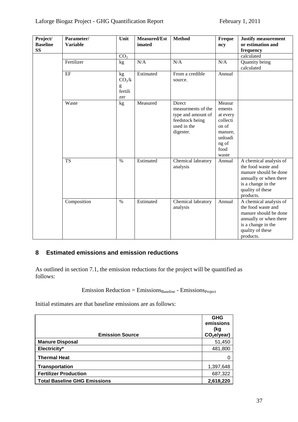| Project/<br><b>Baseline</b> | Parameter/<br><b>Variable</b> | Unit                     | <b>Measured/Est</b><br>imated | <b>Method</b>                                                                                     | Freque<br>ncy                                                                                     | <b>Justify measurement</b><br>or estimation and                                                                                                        |
|-----------------------------|-------------------------------|--------------------------|-------------------------------|---------------------------------------------------------------------------------------------------|---------------------------------------------------------------------------------------------------|--------------------------------------------------------------------------------------------------------------------------------------------------------|
| <b>SS</b>                   |                               |                          |                               |                                                                                                   |                                                                                                   | frequency                                                                                                                                              |
|                             |                               | CO <sub>2</sub>          |                               |                                                                                                   |                                                                                                   | calculated                                                                                                                                             |
|                             | Fertilizer                    | kg                       | N/A                           | N/A                                                                                               | N/A                                                                                               | Quantity being<br>calculated                                                                                                                           |
|                             | EF                            | kg<br>CO <sub>2</sub> /k | Estimated                     | From a credible<br>source.                                                                        | Annual                                                                                            |                                                                                                                                                        |
|                             |                               | g<br>fertili<br>zer      |                               |                                                                                                   |                                                                                                   |                                                                                                                                                        |
|                             | Waste                         | kg                       | Measured                      | Direct<br>measurments of the<br>type and amount of<br>feedstock being<br>used in the<br>digester. | Measur<br>ements<br>at every<br>collecti<br>on of<br>manure,<br>unloadi<br>ng of<br>food<br>waste |                                                                                                                                                        |
|                             | <b>TS</b>                     | $\%$                     | Estimated                     | Chemical labratory<br>analysis                                                                    | Annual                                                                                            | A chemical analysis of<br>the food waste and<br>manure should be done<br>annually or when there<br>is a change in the<br>quality of these<br>products. |
|                             | Composition                   | $\%$                     | Estimated                     | Chemical labratory<br>analysis                                                                    | Annual                                                                                            | A chemical analysis of<br>the food waste and<br>manure should be done<br>annually or when there<br>is a change in the<br>quality of these<br>products. |

## <span id="page-36-0"></span>**8 Estimated emissions and emission reductions**

As outlined in section 7.1, the emission reductions for the project will be quantified as follows:

## $Emission Reduction = Emissions_{Basicline} - Emissions_{Project}$

Initial estimates are that baseline emissions are as follows:

| <b>Emission Source</b>              | <b>GHG</b><br>emissions<br>(kg<br>CO <sub>2</sub> e/year) |
|-------------------------------------|-----------------------------------------------------------|
| <b>Manure Disposal</b>              | 51,450                                                    |
| Electricity*                        | 481,800                                                   |
| <b>Thermal Heat</b>                 |                                                           |
| <b>Transportation</b>               | 1,397,648                                                 |
| <b>Fertilizer Production</b>        | 687,322                                                   |
| <b>Total Baseline GHG Emissions</b> | 2,618,220                                                 |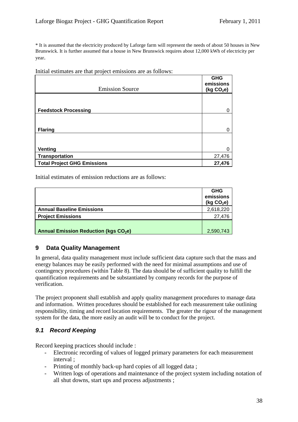\* It is assumed that the electricity produced by Laforge farm will represent the needs of about 50 houses in New Brunswick. It is further assumed that a house in New Brunswick requires about 12,000 kWh of electricity per year.

|  |  | Initial estimates are that project emissions are as follows: |  |
|--|--|--------------------------------------------------------------|--|
|  |  |                                                              |  |

|                                    | <b>GHG</b><br>emissions |
|------------------------------------|-------------------------|
| <b>Emission Source</b>             | (kg $CO2e$ )            |
|                                    |                         |
| <b>Feedstock Processing</b>        | 0                       |
|                                    |                         |
| <b>Flaring</b>                     | 0                       |
|                                    |                         |
| <b>Venting</b>                     | $\Omega$                |
| Transportation                     | 27,476                  |
| <b>Total Project GHG Emissions</b> | 27,476                  |

Initial estimates of emission reductions are as follows:

|                                                        | <b>GHG</b><br>emissions<br>(kg CO <sub>2</sub> e) |
|--------------------------------------------------------|---------------------------------------------------|
| <b>Annual Baseline Emissions</b>                       | 2,618,220                                         |
| <b>Project Emissions</b>                               | 27.476                                            |
| <b>Annual Emission Reduction (kgs CO<sub>2</sub>e)</b> | 2,590,743                                         |

### <span id="page-37-0"></span>**9 Data Quality Management**

In general, data quality management must include sufficient data capture such that the mass and energy balances may be easily performed with the need for minimal assumptions and use of contingency procedures (within Table 8). The data should be of sufficient quality to fulfill the quantification requirements and be substantiated by company records for the purpose of verification.

The project proponent shall establish and apply quality management procedures to manage data and information. Written procedures should be established for each measurement take outlining responsibility, timing and record location requirements. The greater the rigour of the management system for the data, the more easily an audit will be to conduct for the project.

### <span id="page-37-1"></span>*9.1 Record Keeping*

Record keeping practices should include :

- Electronic recording of values of logged primary parameters for each measurement interval ;
- Printing of monthly back-up hard copies of all logged data ;
- Written logs of operations and maintenance of the project system including notation of all shut downs, start ups and process adjustments ;